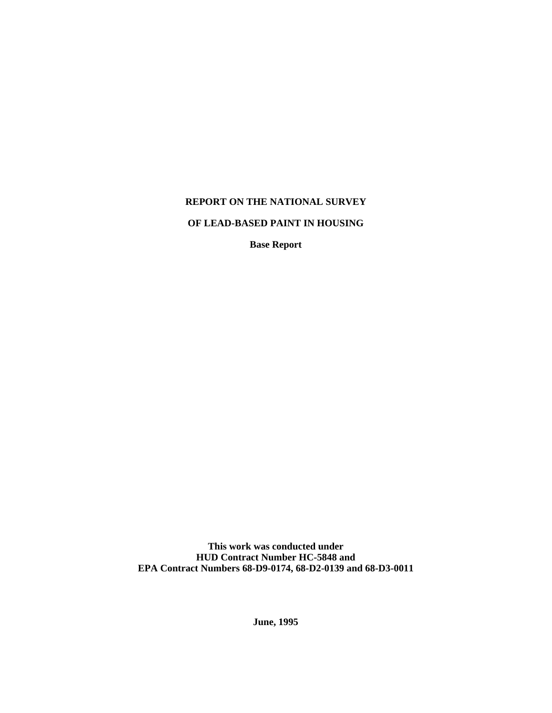# **REPORT ON THE NATIONAL SURVEY**

# **OF LEAD-BASED PAINT IN HOUSING**

**Base Report**

**This work was conducted under HUD Contract Number HC-5848 and EPA Contract Numbers 68-D9-0174, 68-D2-0139 and 68-D3-0011**

**June, 1995**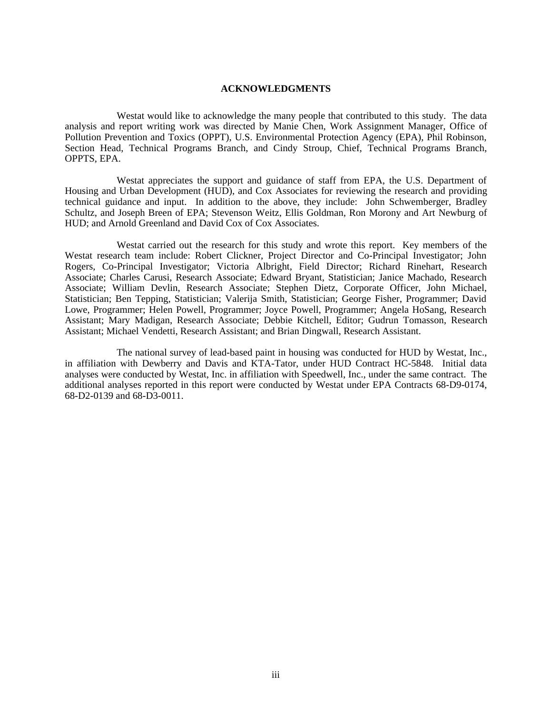# **ACKNOWLEDGMENTS**

<span id="page-1-0"></span>Westat would like to acknowledge the many people that contributed to this study. The data analysis and report writing work was directed by Manie Chen, Work Assignment Manager, Office of Pollution Prevention and Toxics (OPPT), U.S. Environmental Protection Agency (EPA), Phil Robinson, Section Head, Technical Programs Branch, and Cindy Stroup, Chief, Technical Programs Branch, OPPTS, EPA.

Westat appreciates the support and guidance of staff from EPA, the U.S. Department of Housing and Urban Development (HUD), and Cox Associates for reviewing the research and providing technical guidance and input. In addition to the above, they include: John Schwemberger, Bradley Schultz, and Joseph Breen of EPA; Stevenson Weitz, Ellis Goldman, Ron Morony and Art Newburg of HUD; and Arnold Greenland and David Cox of Cox Associates.

Westat carried out the research for this study and wrote this report. Key members of the Westat research team include: Robert Clickner, Project Director and Co-Principal Investigator; John Rogers, Co-Principal Investigator; Victoria Albright, Field Director; Richard Rinehart, Research Associate; Charles Carusi, Research Associate; Edward Bryant, Statistician; Janice Machado, Research Associate; William Devlin, Research Associate; Stephen Dietz, Corporate Officer, John Michael, Statistician; Ben Tepping, Statistician; Valerija Smith, Statistician; George Fisher, Programmer; David Lowe, Programmer; Helen Powell, Programmer; Joyce Powell, Programmer; Angela HoSang, Research Assistant; Mary Madigan, Research Associate; Debbie Kitchell, Editor; Gudrun Tomasson, Research Assistant; Michael Vendetti, Research Assistant; and Brian Dingwall, Research Assistant.

The national survey of lead-based paint in housing was conducted for HUD by Westat, Inc., in affiliation with Dewberry and Davis and KTA-Tator, under HUD Contract HC-5848. Initial data analyses were conducted by Westat, Inc. in affiliation with Speedwell, Inc., under the same contract. The additional analyses reported in this report were conducted by Westat under EPA Contracts 68-D9-0174, 68-D2-0139 and 68-D3-0011.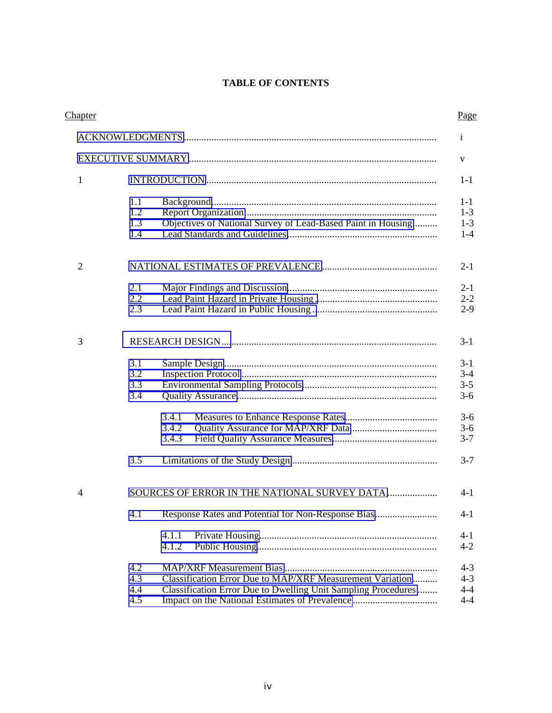# **TABLE OF CONTENTS**

| Chapter        |                          |                                                                                                                            | Page                                     |
|----------------|--------------------------|----------------------------------------------------------------------------------------------------------------------------|------------------------------------------|
|                |                          |                                                                                                                            | $\mathbf{i}$                             |
|                |                          |                                                                                                                            | V                                        |
| $\mathbf{1}$   |                          |                                                                                                                            | $1 - 1$                                  |
|                | 1.1<br>1.2<br>1.3<br>1.4 | Objectives of National Survey of Lead-Based Paint in Housing                                                               | $1 - 1$<br>$1 - 3$<br>$1-3$<br>$1-4$     |
| $\overline{2}$ |                          |                                                                                                                            | $2 - 1$                                  |
|                | 2.1<br>2.2<br>2.3        |                                                                                                                            | $2 - 1$<br>$2 - 2$<br>$2 - 9$            |
| 3              |                          |                                                                                                                            | $3 - 1$                                  |
|                | 3.1<br>3.2<br>3.3<br>3.4 |                                                                                                                            | $3-1$<br>$3 - 4$<br>$3 - 5$<br>$3 - 6$   |
|                |                          | 3.4.1<br>3.4.2<br>3.4.3                                                                                                    | $3 - 6$<br>$3 - 6$<br>$3 - 7$            |
|                | 3.5                      |                                                                                                                            | $3 - 7$                                  |
| $\overline{4}$ |                          | SOURCES OF ERROR IN THE NATIONAL SURVEY DATA                                                                               | 4-1                                      |
|                | 4.1                      | Response Rates and Potential for Non-Response Bias                                                                         | $4 - 1$                                  |
|                |                          | 4.1.1<br>4.1.2                                                                                                             | $4 - 1$<br>$4 - 2$                       |
|                | 4.2<br>4.3<br>4.4<br>4.5 | Classification Error Due to MAP/XRF Measurement Variation<br>Classification Error Due to Dwelling Unit Sampling Procedures | $4 - 3$<br>$4 - 3$<br>$4 - 4$<br>$4 - 4$ |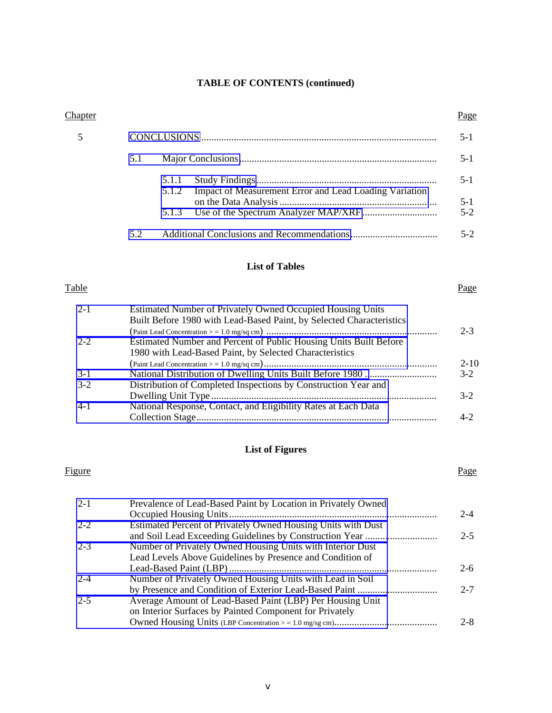# **TABLE OF CONTENTS (continued)**

| <b>Chapter</b>   |                                                                                                                                    | Page               |
|------------------|------------------------------------------------------------------------------------------------------------------------------------|--------------------|
| 5                |                                                                                                                                    | $5 - 1$            |
|                  | 5.1                                                                                                                                | $5 - 1$            |
|                  | 5.1.1<br>Impact of Measurement Error and Lead Loading Variation<br>5.1.2                                                           | $5 - 1$            |
|                  | 5.1.3                                                                                                                              | $5 - 1$<br>$5 - 2$ |
|                  | 5.2                                                                                                                                | $5 - 2$            |
|                  | <b>List of Tables</b>                                                                                                              |                    |
| Table            |                                                                                                                                    | Page               |
| $2 - 1$          | Estimated Number of Privately Owned Occupied Housing Units<br>Built Before 1980 with Lead-Based Paint, by Selected Characteristics |                    |
| $2 - 2$          | Estimated Number and Percent of Public Housing Units Built Before<br>1980 with Lead-Based Paint, by Selected Characteristics       | $2 - 3$            |
|                  |                                                                                                                                    | $2 - 10$           |
| $3-1$<br>$3 - 2$ | Distribution of Completed Inspections by Construction Year and                                                                     | $3 - 2$            |
|                  |                                                                                                                                    | $3-2$              |

# **List of Figures**

Collection Stage................................................................................................ 4-2

[4-1 National Response, Contact, and Eligibility Rates at Each Data](#page-39-1)

### Figure Page

| $2 - 1$ | Prevalence of Lead-Based Paint by Location in Privately Owned |         |
|---------|---------------------------------------------------------------|---------|
|         |                                                               | $2 - 4$ |
| $2 - 2$ | Estimated Percent of Privately Owned Housing Units with Dust  |         |
|         |                                                               | $2 - 5$ |
| $2 - 3$ | Number of Privately Owned Housing Units with Interior Dust    |         |
|         | Lead Levels Above Guidelines by Presence and Condition of     |         |
|         |                                                               | $2 - 6$ |
| $2 - 4$ | Number of Privately Owned Housing Units with Lead in Soil     |         |
|         |                                                               | $2 - 7$ |
| $2 - 5$ | Average Amount of Lead-Based Paint (LBP) Per Housing Unit     |         |
|         | on Interior Surfaces by Painted Component for Privately       |         |
|         |                                                               | $2 - 8$ |
|         |                                                               |         |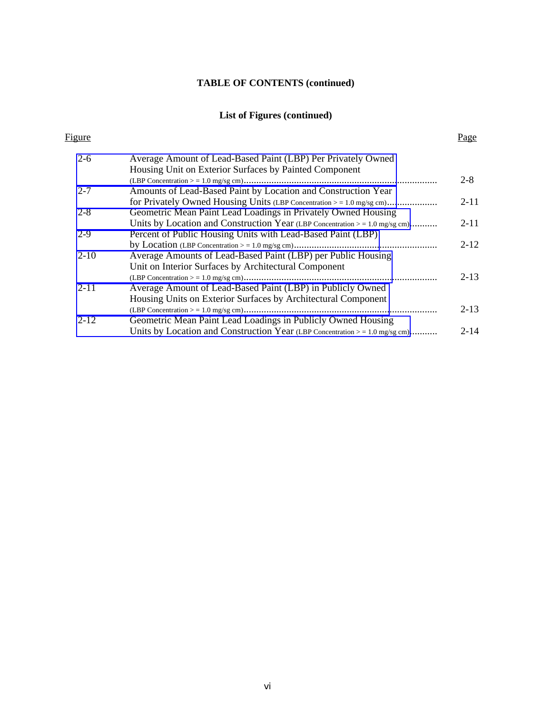# **TABLE OF CONTENTS (continued)**

# **List of Figures (continued)**

| Figure   |                                                                                                                             | Page     |
|----------|-----------------------------------------------------------------------------------------------------------------------------|----------|
| $2 - 6$  | Average Amount of Lead-Based Paint (LBP) Per Privately Owned<br>Housing Unit on Exterior Surfaces by Painted Component      |          |
|          |                                                                                                                             | $2 - 8$  |
| $2 - 7$  | Amounts of Lead-Based Paint by Location and Construction Year                                                               |          |
| $2 - 8$  | Geometric Mean Paint Lead Loadings in Privately Owned Housing                                                               | $2 - 11$ |
|          | Units by Location and Construction Year (LBP Concentration $> = 1.0$ mg/sg cm)                                              | $2 - 11$ |
| $2-9$    | Percent of Public Housing Units with Lead-Based Paint (LBP)                                                                 |          |
| $2 - 10$ | Average Amounts of Lead-Based Paint (LBP) per Public Housing<br>Unit on Interior Surfaces by Architectural Component        | $2 - 12$ |
| $2 - 11$ | Average Amount of Lead-Based Paint (LBP) in Publicly Owned<br>Housing Units on Exterior Surfaces by Architectural Component | $2 - 13$ |
|          |                                                                                                                             | $2 - 13$ |
| $2 - 12$ | Geometric Mean Paint Lead Loadings in Publicly Owned Housing                                                                |          |
|          | Units by Location and Construction Year (LBP Concentration $> = 1.0$ mg/sg cm)                                              | $2 - 14$ |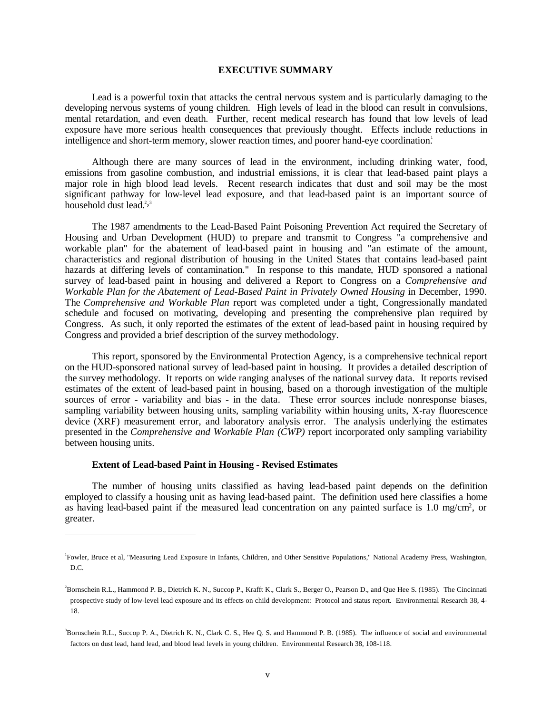### **EXECUTIVE SUMMARY**

<span id="page-5-0"></span>Lead is a powerful toxin that attacks the central nervous system and is particularly damaging to the developing nervous systems of young children. High levels of lead in the blood can result in convulsions, mental retardation, and even death. Further, recent medical research has found that low levels of lead exposure have more serious health consequences that previously thought. Effects include reductions in intelligence and short-term memory, slower reaction times, and poorer hand-eye coordination.<sup>1</sup>

Although there are many sources of lead in the environment, including drinking water, food, emissions from gasoline combustion, and industrial emissions, it is clear that lead-based paint plays a major role in high blood lead levels. Recent research indicates that dust and soil may be the most significant pathway for low-level lead exposure, and that lead-based paint is an important source of household dust lead. $2,3$ 

The 1987 amendments to the Lead-Based Paint Poisoning Prevention Act required the Secretary of Housing and Urban Development (HUD) to prepare and transmit to Congress "a comprehensive and workable plan" for the abatement of lead-based paint in housing and "an estimate of the amount, characteristics and regional distribution of housing in the United States that contains lead-based paint hazards at differing levels of contamination." In response to this mandate, HUD sponsored a national survey of lead-based paint in housing and delivered a Report to Congress on a *Comprehensive and Workable Plan for the Abatement of Lead-Based Paint in Privately Owned Housing* in December, 1990. The *Comprehensive and Workable Plan* report was completed under a tight, Congressionally mandated schedule and focused on motivating, developing and presenting the comprehensive plan required by Congress. As such, it only reported the estimates of the extent of lead-based paint in housing required by Congress and provided a brief description of the survey methodology.

This report, sponsored by the Environmental Protection Agency, is a comprehensive technical report on the HUD-sponsored national survey of lead-based paint in housing. It provides a detailed description of the survey methodology. It reports on wide ranging analyses of the national survey data. It reports revised estimates of the extent of lead-based paint in housing, based on a thorough investigation of the multiple sources of error - variability and bias - in the data. These error sources include nonresponse biases, sampling variability between housing units, sampling variability within housing units, X-ray fluorescence device (XRF) measurement error, and laboratory analysis error. The analysis underlying the estimates presented in the *Comprehensive and Workable Plan (CWP)* report incorporated only sampling variability between housing units.

### **Extent of Lead-based Paint in Housing - Revised Estimates**

 $\overline{a}$ 

The number of housing units classified as having lead-based paint depends on the definition employed to classify a housing unit as having lead-based paint. The definition used here classifies a home as having lead-based paint if the measured lead concentration on any painted surface is 1.0 mg/cm2, or greater.

<sup>1</sup> Fowler, Bruce et al, "Measuring Lead Exposure in Infants, Children, and Other Sensitive Populations," National Academy Press, Washington, D.C.

<sup>2</sup> Bornschein R.L., Hammond P. B., Dietrich K. N., Succop P., Krafft K., Clark S., Berger O., Pearson D., and Que Hee S. (1985). The Cincinnati prospective study of low-level lead exposure and its effects on child development: Protocol and status report. Environmental Research 38, 4- 18.

<sup>3</sup> Bornschein R.L., Succop P. A., Dietrich K. N., Clark C. S., Hee Q. S. and Hammond P. B. (1985). The influence of social and environmental factors on dust lead, hand lead, and blood lead levels in young children. Environmental Research 38, 108-118.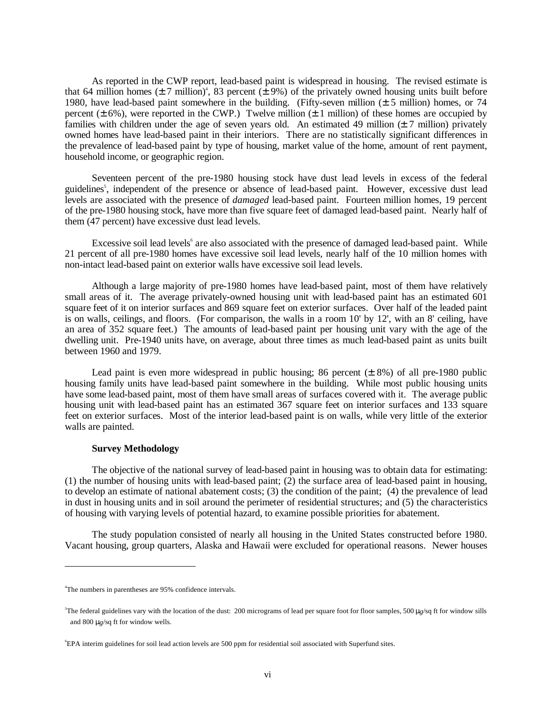As reported in the CWP report, lead-based paint is widespread in housing. The revised estimate is that 64 million homes  $(\pm 7 \text{ million})^4$ , 83 percent  $(\pm 9\%)$  of the privately owned housing units built before 1980, have lead-based paint somewhere in the building. (Fifty-seven million (± 5 million) homes, or 74 percent ( $\pm$  6%), were reported in the CWP.) Twelve million ( $\pm$  1 million) of these homes are occupied by families with children under the age of seven years old. An estimated 49 million  $(\pm 7$  million) privately owned homes have lead-based paint in their interiors. There are no statistically significant differences in the prevalence of lead-based paint by type of housing, market value of the home, amount of rent payment, household income, or geographic region.

Seventeen percent of the pre-1980 housing stock have dust lead levels in excess of the federal guidelines<sup>5</sup>, independent of the presence or absence of lead-based paint. However, excessive dust lead levels are associated with the presence of *damaged* lead-based paint. Fourteen million homes, 19 percent of the pre-1980 housing stock, have more than five square feet of damaged lead-based paint. Nearly half of them (47 percent) have excessive dust lead levels.

Excessive soil lead levels<sup>6</sup> are also associated with the presence of damaged lead-based paint. While 21 percent of all pre-1980 homes have excessive soil lead levels, nearly half of the 10 million homes with non-intact lead-based paint on exterior walls have excessive soil lead levels.

Although a large majority of pre-1980 homes have lead-based paint, most of them have relatively small areas of it. The average privately-owned housing unit with lead-based paint has an estimated 601 square feet of it on interior surfaces and 869 square feet on exterior surfaces. Over half of the leaded paint is on walls, ceilings, and floors. (For comparison, the walls in a room 10' by 12', with an 8' ceiling, have an area of 352 square feet.) The amounts of lead-based paint per housing unit vary with the age of the dwelling unit. Pre-1940 units have, on average, about three times as much lead-based paint as units built between 1960 and 1979.

Lead paint is even more widespread in public housing; 86 percent  $(\pm 8\%)$  of all pre-1980 public housing family units have lead-based paint somewhere in the building. While most public housing units have some lead-based paint, most of them have small areas of surfaces covered with it. The average public housing unit with lead-based paint has an estimated 367 square feet on interior surfaces and 133 square feet on exterior surfaces. Most of the interior lead-based paint is on walls, while very little of the exterior walls are painted.

# **Survey Methodology**

The objective of the national survey of lead-based paint in housing was to obtain data for estimating: (1) the number of housing units with lead-based paint; (2) the surface area of lead-based paint in housing, to develop an estimate of national abatement costs; (3) the condition of the paint; (4) the prevalence of lead in dust in housing units and in soil around the perimeter of residential structures; and (5) the characteristics of housing with varying levels of potential hazard, to examine possible priorities for abatement.

The study population consisted of nearly all housing in the United States constructed before 1980. Vacant housing, group quarters, Alaska and Hawaii were excluded for operational reasons. Newer houses

 $\overline{a}$ 

<sup>4</sup> The numbers in parentheses are 95% confidence intervals.

<sup>5</sup> The federal guidelines vary with the location of the dust: 200 micrograms of lead per square foot for floor samples, 500 µ*g*/sq ft for window sills and 800 µ*g*/sq ft for window wells.

<sup>6</sup> EPA interim guidelines for soil lead action levels are 500 ppm for residential soil associated with Superfund sites.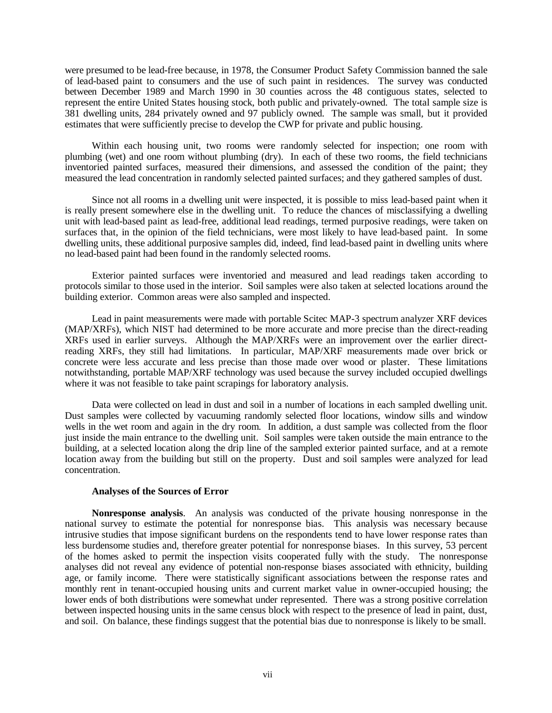were presumed to be lead-free because, in 1978, the Consumer Product Safety Commission banned the sale of lead-based paint to consumers and the use of such paint in residences. The survey was conducted between December 1989 and March 1990 in 30 counties across the 48 contiguous states, selected to represent the entire United States housing stock, both public and privately-owned. The total sample size is 381 dwelling units, 284 privately owned and 97 publicly owned. The sample was small, but it provided estimates that were sufficiently precise to develop the CWP for private and public housing.

Within each housing unit, two rooms were randomly selected for inspection; one room with plumbing (wet) and one room without plumbing (dry). In each of these two rooms, the field technicians inventoried painted surfaces, measured their dimensions, and assessed the condition of the paint; they measured the lead concentration in randomly selected painted surfaces; and they gathered samples of dust.

Since not all rooms in a dwelling unit were inspected, it is possible to miss lead-based paint when it is really present somewhere else in the dwelling unit. To reduce the chances of misclassifying a dwelling unit with lead-based paint as lead-free, additional lead readings, termed purposive readings, were taken on surfaces that, in the opinion of the field technicians, were most likely to have lead-based paint. In some dwelling units, these additional purposive samples did, indeed, find lead-based paint in dwelling units where no lead-based paint had been found in the randomly selected rooms.

Exterior painted surfaces were inventoried and measured and lead readings taken according to protocols similar to those used in the interior. Soil samples were also taken at selected locations around the building exterior. Common areas were also sampled and inspected.

Lead in paint measurements were made with portable Scitec MAP-3 spectrum analyzer XRF devices (MAP/XRFs), which NIST had determined to be more accurate and more precise than the direct-reading XRFs used in earlier surveys. Although the MAP/XRFs were an improvement over the earlier directreading XRFs, they still had limitations. In particular, MAP/XRF measurements made over brick or concrete were less accurate and less precise than those made over wood or plaster. These limitations notwithstanding, portable MAP/XRF technology was used because the survey included occupied dwellings where it was not feasible to take paint scrapings for laboratory analysis.

Data were collected on lead in dust and soil in a number of locations in each sampled dwelling unit. Dust samples were collected by vacuuming randomly selected floor locations, window sills and window wells in the wet room and again in the dry room. In addition, a dust sample was collected from the floor just inside the main entrance to the dwelling unit. Soil samples were taken outside the main entrance to the building, at a selected location along the drip line of the sampled exterior painted surface, and at a remote location away from the building but still on the property. Dust and soil samples were analyzed for lead concentration.

# **Analyses of the Sources of Error**

**Nonresponse analysis**. An analysis was conducted of the private housing nonresponse in the national survey to estimate the potential for nonresponse bias. This analysis was necessary because intrusive studies that impose significant burdens on the respondents tend to have lower response rates than less burdensome studies and, therefore greater potential for nonresponse biases. In this survey, 53 percent of the homes asked to permit the inspection visits cooperated fully with the study. The nonresponse analyses did not reveal any evidence of potential non-response biases associated with ethnicity, building age, or family income. There were statistically significant associations between the response rates and monthly rent in tenant-occupied housing units and current market value in owner-occupied housing; the lower ends of both distributions were somewhat under represented. There was a strong positive correlation between inspected housing units in the same census block with respect to the presence of lead in paint, dust, and soil. On balance, these findings suggest that the potential bias due to nonresponse is likely to be small.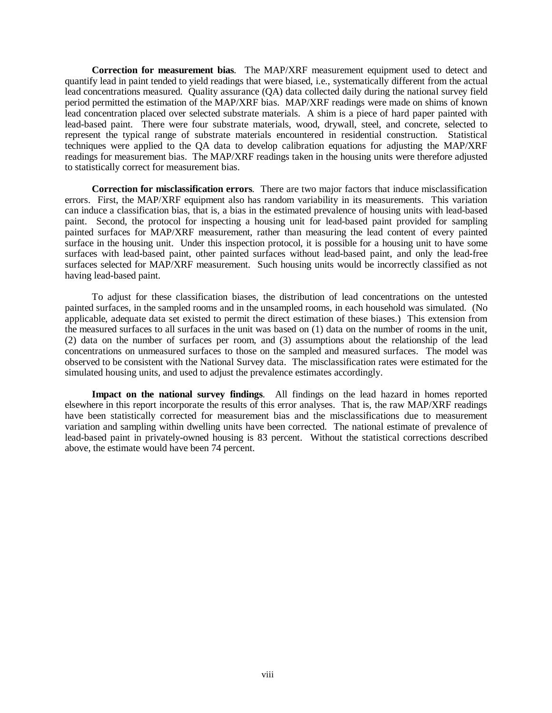**Correction for measurement bias**. The MAP/XRF measurement equipment used to detect and quantify lead in paint tended to yield readings that were biased, i.e., systematically different from the actual lead concentrations measured. Quality assurance (QA) data collected daily during the national survey field period permitted the estimation of the MAP/XRF bias. MAP/XRF readings were made on shims of known lead concentration placed over selected substrate materials. A shim is a piece of hard paper painted with lead-based paint. There were four substrate materials, wood, drywall, steel, and concrete, selected to represent the typical range of substrate materials encountered in residential construction. Statistical techniques were applied to the QA data to develop calibration equations for adjusting the MAP/XRF readings for measurement bias. The MAP/XRF readings taken in the housing units were therefore adjusted to statistically correct for measurement bias.

**Correction for misclassification errors**. There are two major factors that induce misclassification errors. First, the MAP/XRF equipment also has random variability in its measurements. This variation can induce a classification bias, that is, a bias in the estimated prevalence of housing units with lead-based paint. Second, the protocol for inspecting a housing unit for lead-based paint provided for sampling painted surfaces for MAP/XRF measurement, rather than measuring the lead content of every painted surface in the housing unit. Under this inspection protocol, it is possible for a housing unit to have some surfaces with lead-based paint, other painted surfaces without lead-based paint, and only the lead-free surfaces selected for MAP/XRF measurement. Such housing units would be incorrectly classified as not having lead-based paint.

To adjust for these classification biases, the distribution of lead concentrations on the untested painted surfaces, in the sampled rooms and in the unsampled rooms, in each household was simulated. (No applicable, adequate data set existed to permit the direct estimation of these biases.) This extension from the measured surfaces to all surfaces in the unit was based on (1) data on the number of rooms in the unit, (2) data on the number of surfaces per room, and (3) assumptions about the relationship of the lead concentrations on unmeasured surfaces to those on the sampled and measured surfaces. The model was observed to be consistent with the National Survey data. The misclassification rates were estimated for the simulated housing units, and used to adjust the prevalence estimates accordingly.

**Impact on the national survey findings**. All findings on the lead hazard in homes reported elsewhere in this report incorporate the results of this error analyses. That is, the raw MAP/XRF readings have been statistically corrected for measurement bias and the misclassifications due to measurement variation and sampling within dwelling units have been corrected. The national estimate of prevalence of lead-based paint in privately-owned housing is 83 percent. Without the statistical corrections described above, the estimate would have been 74 percent.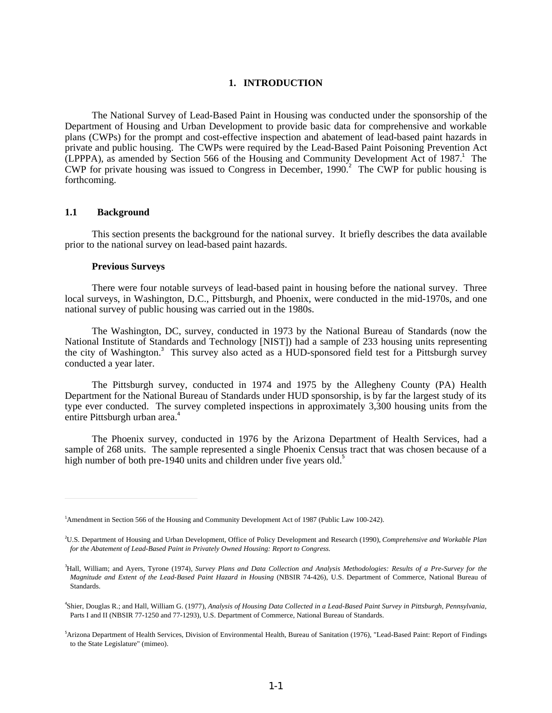### **1. INTRODUCTION**

<span id="page-9-1"></span><span id="page-9-0"></span>The National Survey of Lead-Based Paint in Housing was conducted under the sponsorship of the Department of Housing and Urban Development to provide basic data for comprehensive and workable plans (CWPs) for the prompt and cost-effective inspection and abatement of lead-based paint hazards in private and public housing. The CWPs were required by the Lead-Based Paint Poisoning Prevention Act  $(LPPPA)$ , as amended by Section 566 of the Housing and Community Development Act of 1987.<sup>1</sup> The CWP for private housing was issued to Congress in December,  $1990<sup>2</sup>$  The CWP for public housing is forthcoming.

# **1.1 Background**

 $\overline{a}$ 

This section presents the background for the national survey. It briefly describes the data available prior to the national survey on lead-based paint hazards.

#### **Previous Surveys**

There were four notable surveys of lead-based paint in housing before the national survey. Three local surveys, in Washington, D.C., Pittsburgh, and Phoenix, were conducted in the mid-1970s, and one national survey of public housing was carried out in the 1980s.

The Washington, DC, survey, conducted in 1973 by the National Bureau of Standards (now the National Institute of Standards and Technology [NIST]) had a sample of 233 housing units representing the city of Washington.<sup>3</sup> This survey also acted as a HUD-sponsored field test for a Pittsburgh survey conducted a year later.

The Pittsburgh survey, conducted in 1974 and 1975 by the Allegheny County (PA) Health Department for the National Bureau of Standards under HUD sponsorship, is by far the largest study of its type ever conducted. The survey completed inspections in approximately 3,300 housing units from the entire Pittsburgh urban area.<sup>4</sup>

The Phoenix survey, conducted in 1976 by the Arizona Department of Health Services, had a sample of 268 units. The sample represented a single Phoenix Census tract that was chosen because of a high number of both pre-1940 units and children under five years old.<sup>5</sup>

<sup>1</sup> Amendment in Section 566 of the Housing and Community Development Act of 1987 (Public Law 100-242).

<sup>2</sup> U.S. Department of Housing and Urban Development, Office of Policy Development and Research (1990), *Comprehensive and Workable Plan for the Abatement of Lead-Based Paint in Privately Owned Housing: Report to Congress.*

<sup>3</sup> Hall, William; and Ayers, Tyrone (1974), *Survey Plans and Data Collection and Analysis Methodologies: Results of a Pre-Survey for the Magnitude and Extent of the Lead-Based Paint Hazard in Housing* (NBSIR 74-426), U.S. Department of Commerce, National Bureau of Standards.

<sup>4</sup> Shier, Douglas R.; and Hall, William G. (1977), *Analysis of Housing Data Collected in a Lead-Based Paint Survey in Pittsburgh, Pennsylvania*, Parts I and II (NBSIR 77-1250 and 77-1293), U.S. Department of Commerce, National Bureau of Standards.

<sup>5</sup> Arizona Department of Health Services, Division of Environmental Health, Bureau of Sanitation (1976), "Lead-Based Paint: Report of Findings to the State Legislature" (mimeo).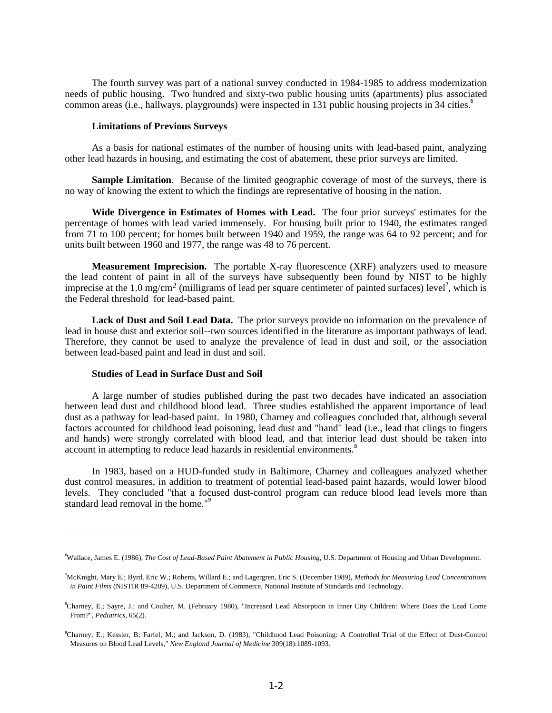The fourth survey was part of a national survey conducted in 1984-1985 to address modernization needs of public housing. Two hundred and sixty-two public housing units (apartments) plus associated common areas (i.e., hallways, playgrounds) were inspected in 131 public housing projects in 34 cities.<sup>6</sup>

### **Limitations of Previous Surveys**

As a basis for national estimates of the number of housing units with lead-based paint, analyzing other lead hazards in housing, and estimating the cost of abatement, these prior surveys are limited.

**Sample Limitation.** Because of the limited geographic coverage of most of the surveys, there is no way of knowing the extent to which the findings are representative of housing in the nation.

**Wide Divergence in Estimates of Homes with Lead.** The four prior surveys' estimates for the percentage of homes with lead varied immensely. For housing built prior to 1940, the estimates ranged from 71 to 100 percent; for homes built between 1940 and 1959, the range was 64 to 92 percent; and for units built between 1960 and 1977, the range was 48 to 76 percent.

**Measurement Imprecision.** The portable X-ray fluorescence (XRF) analyzers used to measure the lead content of paint in all of the surveys have subsequently been found by NIST to be highly imprecise at the 1.0 mg/cm<sup>2</sup> (milligrams of lead per square centimeter of painted surfaces) level<sup>7</sup>, which is the Federal threshold for lead-based paint.

**Lack of Dust and Soil Lead Data.** The prior surveys provide no information on the prevalence of lead in house dust and exterior soil--two sources identified in the literature as important pathways of lead. Therefore, they cannot be used to analyze the prevalence of lead in dust and soil, or the association between lead-based paint and lead in dust and soil.

#### **Studies of Lead in Surface Dust and Soil**

 $\overline{a}$ 

A large number of studies published during the past two decades have indicated an association between lead dust and childhood blood lead. Three studies established the apparent importance of lead dust as a pathway for lead-based paint. In 1980, Charney and colleagues concluded that, although several factors accounted for childhood lead poisoning, lead dust and "hand" lead (i.e., lead that clings to fingers and hands) were strongly correlated with blood lead, and that interior lead dust should be taken into account in attempting to reduce lead hazards in residential environments.<sup>8</sup>

In 1983, based on a HUD-funded study in Baltimore, Charney and colleagues analyzed whether dust control measures, in addition to treatment of potential lead-based paint hazards, would lower blood levels. They concluded "that a focused dust-control program can reduce blood lead levels more than standard lead removal in the home."<sup>9</sup>

<sup>6</sup> Wallace, James E. (1986), *The Cost of Lead-Based Paint Abatement in Public Housing*, U.S. Department of Housing and Urban Development.

<sup>7</sup> McKnight, Mary E.; Byrd, Eric W.; Roberts, Willard E.; and Lagergren, Eric S. (December 1989), *Methods for Measuring Lead Concentrations in Paint Films* (NISTIR 89-4209), U.S. Department of Commerce, National Institute of Standards and Technology.

<sup>8</sup> Charney, E.; Sayre, J.; and Coulter, M. (February 1980), "Increased Lead Absorption in Inner City Children: Where Does the Lead Come From?", *Pediatrics*, 65(2).

<sup>9</sup> Charney, E.; Kessler, B; Farfel, M.; and Jackson, D. (1983), "Childhood Lead Poisoning: A Controlled Trial of the Effect of Dust-Control Measures on Blood Lead Levels," *New England Journal of Medicine* 309(18):1089-1093.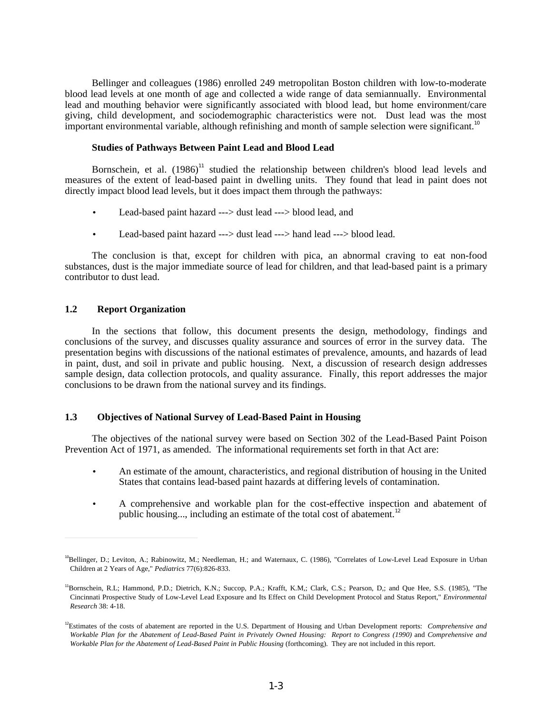<span id="page-11-0"></span>Bellinger and colleagues (1986) enrolled 249 metropolitan Boston children with low-to-moderate blood lead levels at one month of age and collected a wide range of data semiannually. Environmental lead and mouthing behavior were significantly associated with blood lead, but home environment/care giving, child development, and sociodemographic characteristics were not. Dust lead was the most important environmental variable, although refinishing and month of sample selection were significant.<sup>10</sup>

# **Studies of Pathways Between Paint Lead and Blood Lead**

Bornschein, et al.  $(1986)^{11}$  studied the relationship between children's blood lead levels and measures of the extent of lead-based paint in dwelling units. They found that lead in paint does not directly impact blood lead levels, but it does impact them through the pathways:

- Lead-based paint hazard ---> dust lead ---> blood lead, and
- Lead-based paint hazard ---> dust lead ---> hand lead ---> blood lead.

The conclusion is that, except for children with pica, an abnormal craving to eat non-food substances, dust is the major immediate source of lead for children, and that lead-based paint is a primary contributor to dust lead.

# **1.2 Report Organization**

 $\overline{a}$ 

In the sections that follow, this document presents the design, methodology, findings and conclusions of the survey, and discusses quality assurance and sources of error in the survey data. The presentation begins with discussions of the national estimates of prevalence, amounts, and hazards of lead in paint, dust, and soil in private and public housing. Next, a discussion of research design addresses sample design, data collection protocols, and quality assurance. Finally, this report addresses the major conclusions to be drawn from the national survey and its findings.

# **1.3 Objectives of National Survey of Lead-Based Paint in Housing**

The objectives of the national survey were based on Section 302 of the Lead-Based Paint Poison Prevention Act of 1971, as amended. The informational requirements set forth in that Act are:

- An estimate of the amount, characteristics, and regional distribution of housing in the United States that contains lead-based paint hazards at differing levels of contamination.
- A comprehensive and workable plan for the cost-effective inspection and abatement of public housing..., including an estimate of the total cost of abatement.<sup>12</sup>

<sup>&</sup>lt;sup>10</sup>Bellinger, D.; Leviton, A.; Rabinowitz, M.; Needleman, H.; and Waternaux, C. (1986), "Correlates of Low-Level Lead Exposure in Urban Children at 2 Years of Age," *Pediatrics* 77(6):826-833.

<sup>11</sup>Bornschein, R.L; Hammond, P.D.; Dietrich, K.N.; Succop, P.A.; Krafft, K.M,; Clark, C.S.; Pearson, D,; and Que Hee, S.S. (1985), "The Cincinnati Prospective Study of Low-Level Lead Exposure and Its Effect on Child Development Protocol and Status Report," *Environmental Research* 38: 4-18.

<sup>12</sup>Estimates of the costs of abatement are reported in the U.S. Department of Housing and Urban Development reports: *Comprehensive and Workable Plan for the Abatement of Lead-Based Paint in Privately Owned Housing: Report to Congress (1990)* and *Comprehensive and Workable Plan for the Abatement of Lead-Based Paint in Public Housing* (forthcoming). They are not included in this report.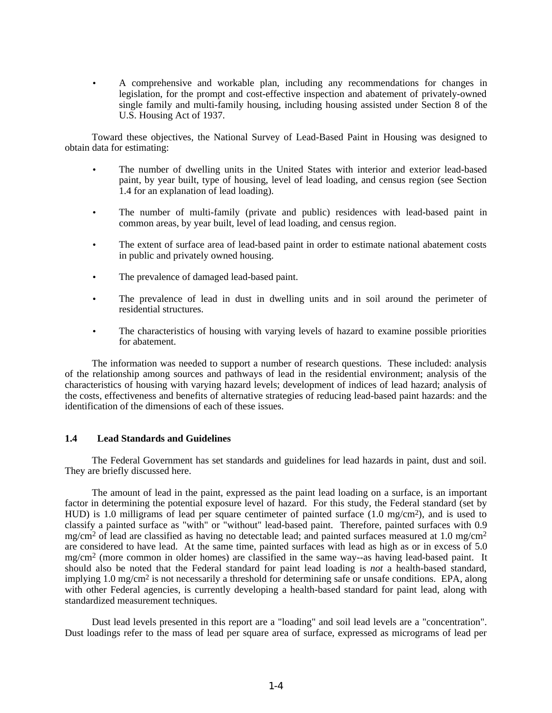<span id="page-12-0"></span>• A comprehensive and workable plan, including any recommendations for changes in legislation, for the prompt and cost-effective inspection and abatement of privately-owned single family and multi-family housing, including housing assisted under Section 8 of the U.S. Housing Act of 1937.

Toward these objectives, the National Survey of Lead-Based Paint in Housing was designed to obtain data for estimating:

- The number of dwelling units in the United States with interior and exterior lead-based paint, by year built, type of housing, level of lead loading, and census region (see Section 1.4 for an explanation of lead loading).
- The number of multi-family (private and public) residences with lead-based paint in common areas, by year built, level of lead loading, and census region.
- The extent of surface area of lead-based paint in order to estimate national abatement costs in public and privately owned housing.
- The prevalence of damaged lead-based paint.
- The prevalence of lead in dust in dwelling units and in soil around the perimeter of residential structures.
- The characteristics of housing with varying levels of hazard to examine possible priorities for abatement.

The information was needed to support a number of research questions. These included: analysis of the relationship among sources and pathways of lead in the residential environment; analysis of the characteristics of housing with varying hazard levels; development of indices of lead hazard; analysis of the costs, effectiveness and benefits of alternative strategies of reducing lead-based paint hazards: and the identification of the dimensions of each of these issues.

# **1.4 Lead Standards and Guidelines**

The Federal Government has set standards and guidelines for lead hazards in paint, dust and soil. They are briefly discussed here.

The amount of lead in the paint, expressed as the paint lead loading on a surface, is an important factor in determining the potential exposure level of hazard. For this study, the Federal standard (set by HUD) is 1.0 milligrams of lead per square centimeter of painted surface (1.0 mg/cm2), and is used to classify a painted surface as "with" or "without" lead-based paint. Therefore, painted surfaces with 0.9 mg/cm<sup>2</sup> of lead are classified as having no detectable lead; and painted surfaces measured at 1.0 mg/cm<sup>2</sup> are considered to have lead. At the same time, painted surfaces with lead as high as or in excess of 5.0 mg/cm2 (more common in older homes) are classified in the same way--as having lead-based paint. It should also be noted that the Federal standard for paint lead loading is *not* a health-based standard, implying 1.0 mg/cm<sup>2</sup> is not necessarily a threshold for determining safe or unsafe conditions. EPA, along with other Federal agencies, is currently developing a health-based standard for paint lead, along with standardized measurement techniques.

Dust lead levels presented in this report are a "loading" and soil lead levels are a "concentration". Dust loadings refer to the mass of lead per square area of surface, expressed as micrograms of lead per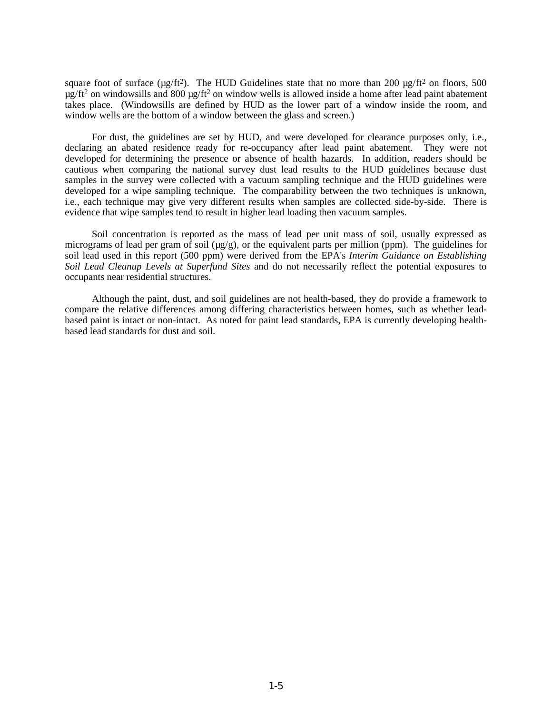square foot of surface ( $\mu$ g/ft<sup>2</sup>). The HUD Guidelines state that no more than 200  $\mu$ g/ft<sup>2</sup> on floors, 500  $\mu$ g/ft<sup>2</sup> on windowsills and 800  $\mu$ g/ft<sup>2</sup> on window wells is allowed inside a home after lead paint abatement takes place. (Windowsills are defined by HUD as the lower part of a window inside the room, and window wells are the bottom of a window between the glass and screen.)

For dust, the guidelines are set by HUD, and were developed for clearance purposes only, i.e., declaring an abated residence ready for re-occupancy after lead paint abatement. They were not developed for determining the presence or absence of health hazards. In addition, readers should be cautious when comparing the national survey dust lead results to the HUD guidelines because dust samples in the survey were collected with a vacuum sampling technique and the HUD guidelines were developed for a wipe sampling technique. The comparability between the two techniques is unknown, i.e., each technique may give very different results when samples are collected side-by-side. There is evidence that wipe samples tend to result in higher lead loading then vacuum samples.

Soil concentration is reported as the mass of lead per unit mass of soil, usually expressed as micrograms of lead per gram of soil ( $\mu$ g/g), or the equivalent parts per million (ppm). The guidelines for soil lead used in this report (500 ppm) were derived from the EPA's *Interim Guidance on Establishing Soil Lead Cleanup Levels at Superfund Sites* and do not necessarily reflect the potential exposures to occupants near residential structures.

Although the paint, dust, and soil guidelines are not health-based, they do provide a framework to compare the relative differences among differing characteristics between homes, such as whether leadbased paint is intact or non-intact. As noted for paint lead standards, EPA is currently developing healthbased lead standards for dust and soil.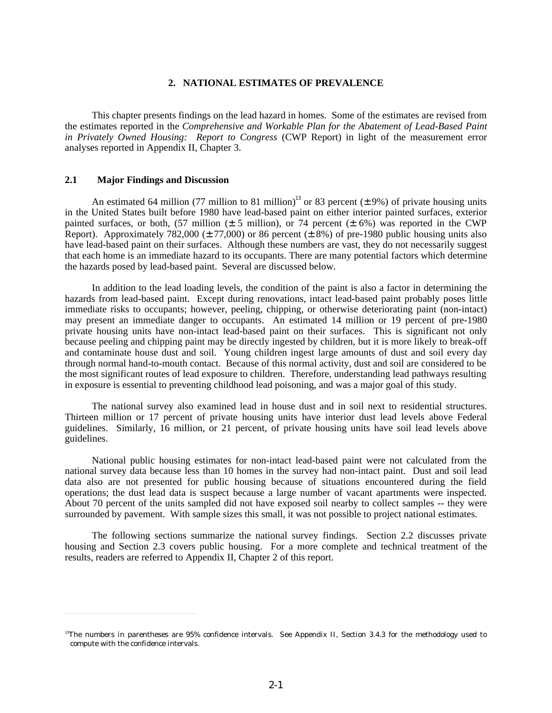### **2. NATIONAL ESTIMATES OF PREVALENCE**

<span id="page-14-1"></span><span id="page-14-0"></span>This chapter presents findings on the lead hazard in homes. Some of the estimates are revised from the estimates reported in the *Comprehensive and Workable Plan for the Abatement of Lead-Based Paint in Privately Owned Housing: Report to Congress* (CWP Report) in light of the measurement error analyses reported in Appendix II, Chapter 3.

# **2.1 Major Findings and Discussion**

 $\overline{a}$ 

An estimated 64 million (77 million to 81 million)<sup>13</sup> or 83 percent ( $\pm$  9%) of private housing units in the United States built before 1980 have lead-based paint on either interior painted surfaces, exterior painted surfaces, or both,  $(57 \text{ million}) \pm 5 \text{ million}$ , or 74 percent  $(\pm 6\%)$  was reported in the CWP Report). Approximately 782,000 ( $\pm$  77,000) or 86 percent ( $\pm$  8%) of pre-1980 public housing units also have lead-based paint on their surfaces. Although these numbers are vast, they do not necessarily suggest that each home is an immediate hazard to its occupants. There are many potential factors which determine the hazards posed by lead-based paint. Several are discussed below.

In addition to the lead loading levels, the condition of the paint is also a factor in determining the hazards from lead-based paint. Except during renovations, intact lead-based paint probably poses little immediate risks to occupants; however, peeling, chipping, or otherwise deteriorating paint (non-intact) may present an immediate danger to occupants. An estimated 14 million or 19 percent of pre-1980 private housing units have non-intact lead-based paint on their surfaces. This is significant not only because peeling and chipping paint may be directly ingested by children, but it is more likely to break-off and contaminate house dust and soil. Young children ingest large amounts of dust and soil every day through normal hand-to-mouth contact. Because of this normal activity, dust and soil are considered to be the most significant routes of lead exposure to children. Therefore, understanding lead pathways resulting in exposure is essential to preventing childhood lead poisoning, and was a major goal of this study.

The national survey also examined lead in house dust and in soil next to residential structures. Thirteen million or 17 percent of private housing units have interior dust lead levels above Federal guidelines. Similarly, 16 million, or 21 percent, of private housing units have soil lead levels above guidelines.

National public housing estimates for non-intact lead-based paint were not calculated from the national survey data because less than 10 homes in the survey had non-intact paint. Dust and soil lead data also are not presented for public housing because of situations encountered during the field operations; the dust lead data is suspect because a large number of vacant apartments were inspected. About 70 percent of the units sampled did not have exposed soil nearby to collect samples -- they were surrounded by pavement. With sample sizes this small, it was not possible to project national estimates.

The following sections summarize the national survey findings. Section 2.2 discusses private housing and Section 2.3 covers public housing. For a more complete and technical treatment of the results, readers are referred to Appendix II, Chapter 2 of this report.

<sup>&</sup>lt;sup>13</sup>The numbers in parentheses are 95% confidence intervals. See Appendix II, Section 3.4.3 for the methodology used to compute with the confidence intervals.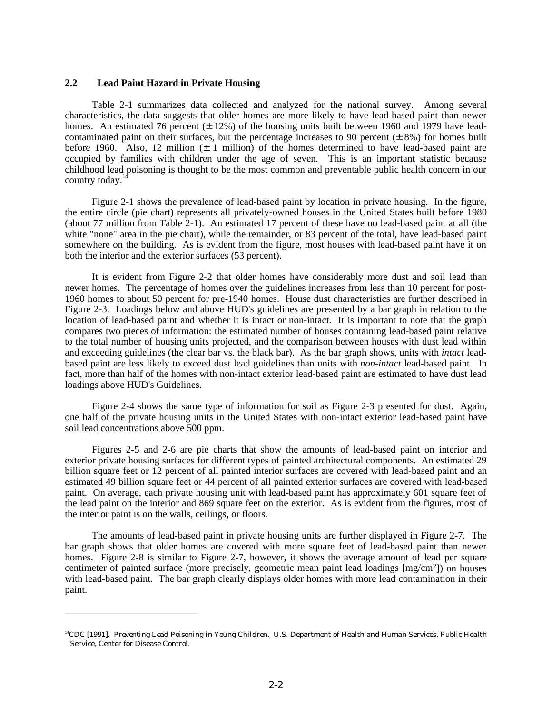#### <span id="page-15-0"></span>**2.2 Lead Paint Hazard in Private Housing**

 $\overline{a}$ 

Table 2-1 summarizes data collected and analyzed for the national survey. Among several characteristics, the data suggests that older homes are more likely to have lead-based paint than newer homes. An estimated 76 percent  $(\pm 12\%)$  of the housing units built between 1960 and 1979 have leadcontaminated paint on their surfaces, but the percentage increases to 90 percent  $(\pm 8\%)$  for homes built before 1960. Also, 12 million (± 1 million) of the homes determined to have lead-based paint are occupied by families with children under the age of seven. This is an important statistic because childhood lead poisoning is thought to be the most common and preventable public health concern in our country today.<sup>1</sup>

Figure 2-1 shows the prevalence of lead-based paint by location in private housing. In the figure, the entire circle (pie chart) represents all privately-owned houses in the United States built before 1980 (about 77 million from Table 2-1). An estimated 17 percent of these have no lead-based paint at all (the white "none" area in the pie chart), while the remainder, or 83 percent of the total, have lead-based paint somewhere on the building. As is evident from the figure, most houses with lead-based paint have it on both the interior and the exterior surfaces (53 percent).

It is evident from Figure 2-2 that older homes have considerably more dust and soil lead than newer homes. The percentage of homes over the guidelines increases from less than 10 percent for post-1960 homes to about 50 percent for pre-1940 homes. House dust characteristics are further described in Figure 2-3. Loadings below and above HUD's guidelines are presented by a bar graph in relation to the location of lead-based paint and whether it is intact or non-intact. It is important to note that the graph compares two pieces of information: the estimated number of houses containing lead-based paint relative to the total number of housing units projected, and the comparison between houses with dust lead within and exceeding guidelines (the clear bar vs. the black bar). As the bar graph shows, units with *intact* leadbased paint are less likely to exceed dust lead guidelines than units with *non-intact* lead-based paint. In fact, more than half of the homes with non-intact exterior lead-based paint are estimated to have dust lead loadings above HUD's Guidelines.

Figure 2-4 shows the same type of information for soil as Figure 2-3 presented for dust. Again, one half of the private housing units in the United States with non-intact exterior lead-based paint have soil lead concentrations above 500 ppm.

Figures 2-5 and 2-6 are pie charts that show the amounts of lead-based paint on interior and exterior private housing surfaces for different types of painted architectural components. An estimated 29 billion square feet or 12 percent of all painted interior surfaces are covered with lead-based paint and an estimated 49 billion square feet or 44 percent of all painted exterior surfaces are covered with lead-based paint. On average, each private housing unit with lead-based paint has approximately 601 square feet of the lead paint on the interior and 869 square feet on the exterior. As is evident from the figures, most of the interior paint is on the walls, ceilings, or floors.

The amounts of lead-based paint in private housing units are further displayed in Figure 2-7. The bar graph shows that older homes are covered with more square feet of lead-based paint than newer homes. Figure 2-8 is similar to Figure 2-7, however, it shows the average amount of lead per square centimeter of painted surface (more precisely, geometric mean paint lead loadings [mg/cm2]) on houses with lead-based paint. The bar graph clearly displays older homes with more lead contamination in their paint.

<sup>&</sup>lt;sup>14</sup>CDC [1991]. Preventing Lead Poisoning in Young Children. U.S. Department of Health and Human Services, Public Health Service, Center for Disease Control.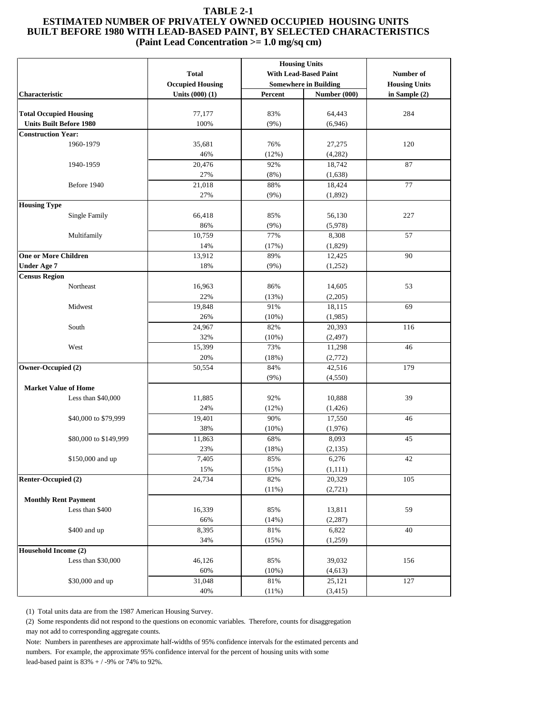### <span id="page-16-0"></span>**TABLE 2-1 ESTIMATED NUMBER OF PRIVATELY OWNED OCCUPIED HOUSING UNITS BUILT BEFORE 1980 WITH LEAD-BASED PAINT, BY SELECTED CHARACTERISTICS (Paint Lead Concentration >= 1.0 mg/sq cm)**

|                                |                         |                              | <b>Housing Units</b>  |               |  |
|--------------------------------|-------------------------|------------------------------|-----------------------|---------------|--|
|                                | <b>Total</b>            |                              | With Lead-Based Paint | Number of     |  |
|                                | <b>Occupied Housing</b> | <b>Somewhere in Building</b> | <b>Housing Units</b>  |               |  |
| Characteristic                 | Units (000) (1)         | Percent                      | Number (000)          | in Sample (2) |  |
|                                |                         |                              |                       |               |  |
| <b>Total Occupied Housing</b>  | 77,177                  | 83%                          | 64,443                | 284           |  |
| <b>Units Built Before 1980</b> | 100%                    | (9%)                         | (6,946)               |               |  |
| <b>Construction Year:</b>      |                         |                              |                       |               |  |
| 1960-1979                      | 35,681                  | 76%                          | 27,275                | 120           |  |
|                                | 46%                     | (12%)                        | (4,282)               |               |  |
| 1940-1959                      | 20,476                  | 92%                          | 18,742                | 87            |  |
|                                | 27%                     | (8%)                         | (1,638)               |               |  |
| Before 1940                    | 21,018                  | 88%                          | 18,424                | 77            |  |
|                                | 27%                     | (9%)                         | (1,892)               |               |  |
| <b>Housing Type</b>            |                         |                              |                       |               |  |
| <b>Single Family</b>           | 66,418                  | 85%                          | 56,130                | 227           |  |
|                                | 86%                     | (9%)                         | (5,978)               |               |  |
| Multifamily                    | 10,759                  | 77%                          | 8,308                 | 57            |  |
|                                | 14%                     | (17%)                        | (1,829)               |               |  |
| <b>One or More Children</b>    | 13,912                  | 89%                          | 12,425                | 90            |  |
| <b>Under Age 7</b>             | 18%                     | $(9\%)$                      | (1,252)               |               |  |
| <b>Census Region</b>           |                         |                              |                       |               |  |
| Northeast                      | 16,963                  | 86%                          | 14,605                | 53            |  |
|                                | 22%                     | (13%)                        | (2,205)               |               |  |
| Midwest                        | 19,848                  | 91%                          | 18,115                | 69            |  |
|                                | 26%                     | (10%)                        | (1,985)               |               |  |
| South                          | 24,967                  | 82%                          | 20,393                | 116           |  |
|                                | 32%                     | (10%)                        | (2, 497)              |               |  |
| West                           | 15,399                  | 73%                          | 11,298                | 46            |  |
|                                | 20%                     | (18%)                        | (2,772)               |               |  |
| Owner-Occupied (2)             | 50,554                  | 84%                          | 42,516                | 179           |  |
|                                |                         | (9%)                         | (4,550)               |               |  |
| <b>Market Value of Home</b>    |                         |                              |                       |               |  |
| Less than \$40,000             | 11,885                  | 92%                          | 10,888                | 39            |  |
|                                | 24%                     | (12%)                        | (1, 426)              |               |  |
| \$40,000 to \$79,999           | 19,401                  | 90%                          | 17,550                | 46            |  |
|                                | 38%                     | (10%)                        | (1,976)               |               |  |
| \$80,000 to \$149,999          | 11,863                  | 68%                          | 8,093                 | 45            |  |
|                                | 23%                     | (18%)                        | (2, 135)              |               |  |
| \$150,000 and up               | 7,405                   | 85%                          | 6,276                 | 42            |  |
|                                | 15%                     | (15%)                        | (1,111)               |               |  |
| Renter-Occupied (2)            | 24,734                  | 82%                          | 20,329                | 105           |  |
|                                |                         | (11%)                        | (2,721)               |               |  |
| <b>Monthly Rent Payment</b>    |                         |                              |                       |               |  |
| Less than \$400                | 16,339                  | 85%                          | 13,811                | 59            |  |
|                                | 66%<br>8,395            | (14%)<br>81%                 | (2, 287)<br>6,822     | 40            |  |
| \$400 and up                   |                         |                              |                       |               |  |
|                                | 34%                     | (15%)                        | (1,259)               |               |  |
| Household Income (2)           |                         |                              |                       |               |  |
| Less than \$30,000             | 46,126<br>60%           | 85%                          | 39,032                | 156           |  |
| \$30,000 and up                | 31,048                  | (10%)<br>81%                 | (4,613)<br>25,121     | 127           |  |
|                                | 40%                     |                              |                       |               |  |
|                                |                         | (11%)                        | (3, 415)              |               |  |

(1) Total units data are from the 1987 American Housing Survey.

 (2) Some respondents did not respond to the questions on economic variables. Therefore, counts for disaggregation may not add to corresponding aggregate counts.

 Note: Numbers in parentheses are approximate half-widths of 95% confidence intervals for the estimated percents and numbers. For example, the approximate 95% confidence interval for the percent of housing units with some lead-based paint is 83% + / -9% or 74% to 92%.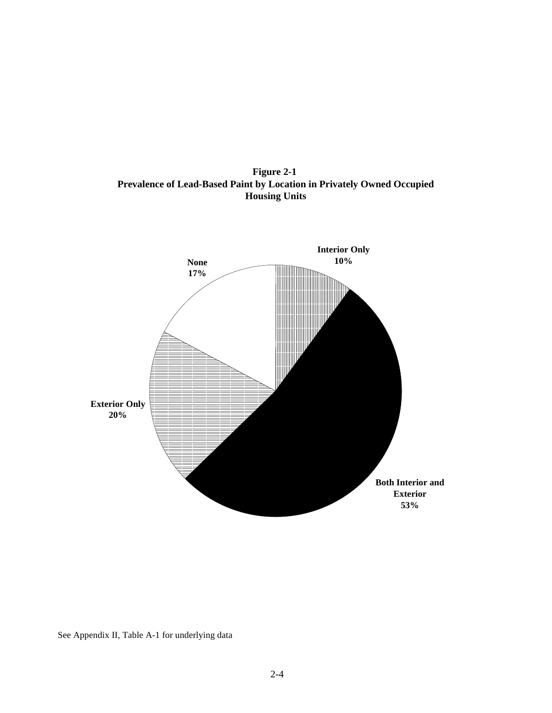**Figure 2-1 Prevalence of Lead-Based Paint by Location in Privately Owned Occupied Housing Units**

<span id="page-17-0"></span>

See Appendix II, Table A-1 for underlying data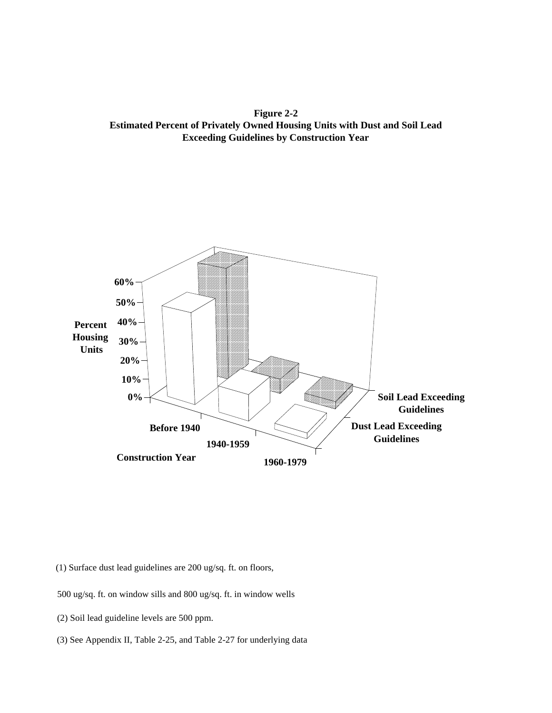<span id="page-18-0"></span>**Figure 2-2 Estimated Percent of Privately Owned Housing Units with Dust and Soil Lead Exceeding Guidelines by Construction Year**



(1) Surface dust lead guidelines are 200 ug/sq. ft. on floors,

500 ug/sq. ft. on window sills and 800 ug/sq. ft. in window wells

(2) Soil lead guideline levels are 500 ppm.

(3) See Appendix II, Table 2-25, and Table 2-27 for underlying data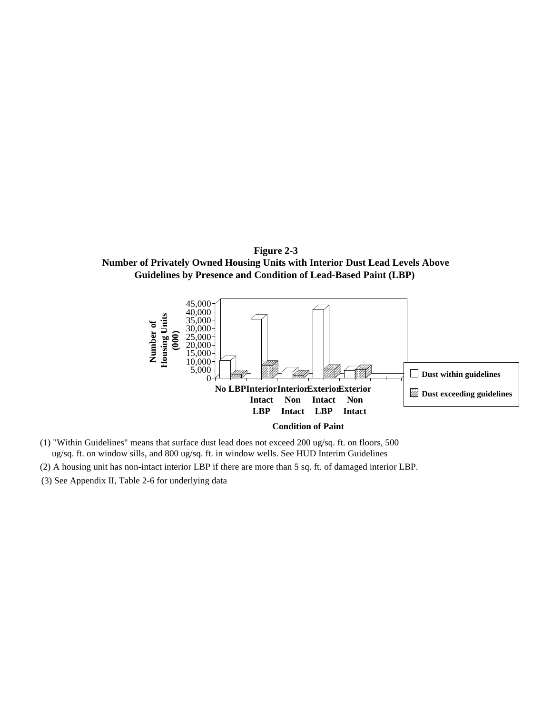<span id="page-19-0"></span>**Number of Privately Owned Housing Units with Interior Dust Lead Levels Above Guidelines by Presence and Condition of Lead-Based Paint (LBP)** 



- (1) "Within Guidelines" means that surface dust lead does not exceed 200 ug/sq. ft. on floors, 500 ug/sq. ft. on window sills, and 800 ug/sq. ft. in window wells. See HUD Interim Guidelines
- (2) A housing unit has non-intact interior LBP if there are more than 5 sq. ft. of damaged interior LBP.
- (3) See Appendix II, Table 2-6 for underlying data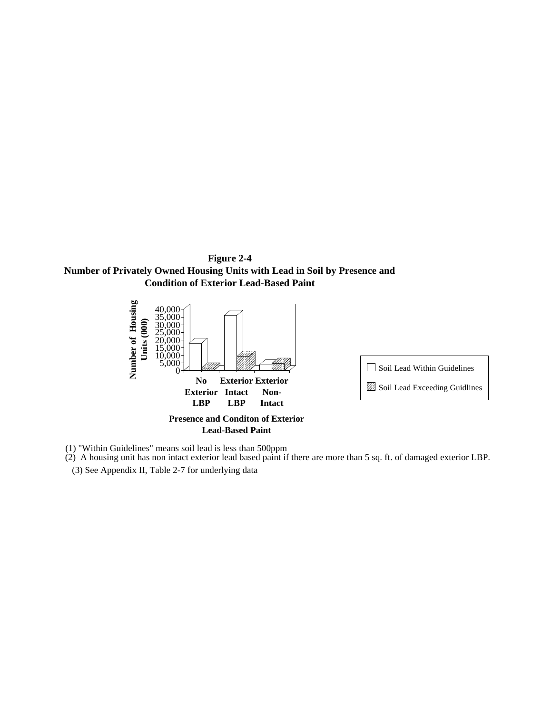<span id="page-20-0"></span>**Number of Privately Owned Housing Units with Lead in Soil by Presence and Condition of Exterior Lead-Based Paint**



(1) "Within Guidelines" means soil lead is less than 500ppm

(2) A housing unit has non intact exterior lead based paint if there are more than 5 sq. ft. of damaged exterior LBP.

(3) See Appendix II, Table 2-7 for underlying data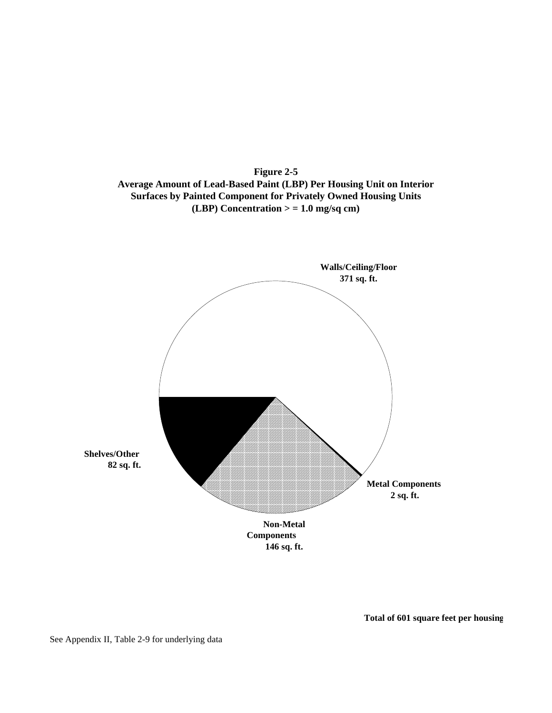

<span id="page-21-0"></span>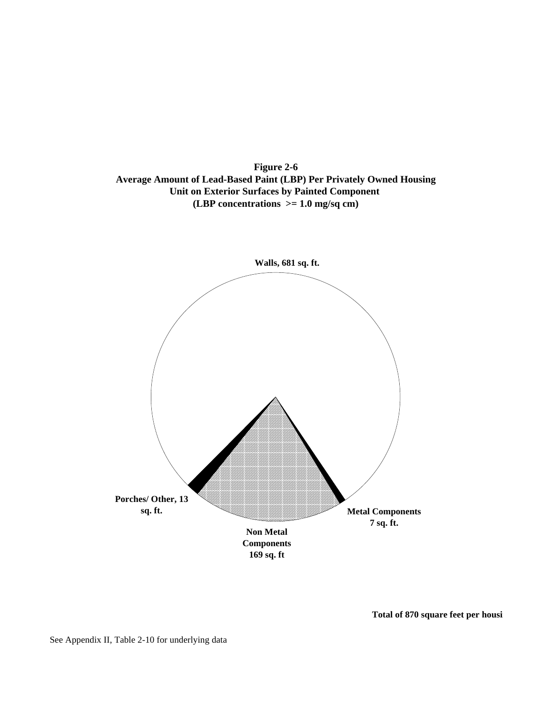<span id="page-22-0"></span>**Figure 2-6 Average Amount of Lead-Based Paint (LBP) Per Privately Owned Housing Unit on Exterior Surfaces by Painted Component (LBP concentrations >= 1.0 mg/sq cm)**

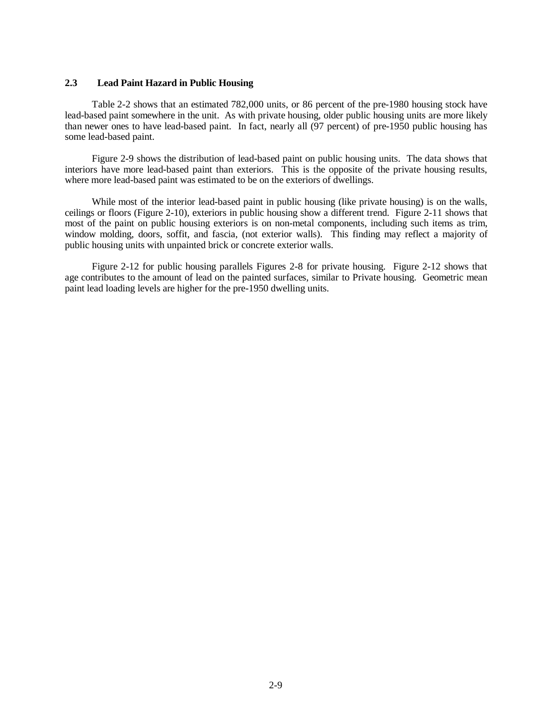# <span id="page-23-0"></span>**2.3 Lead Paint Hazard in Public Housing**

Table 2-2 shows that an estimated 782,000 units, or 86 percent of the pre-1980 housing stock have lead-based paint somewhere in the unit. As with private housing, older public housing units are more likely than newer ones to have lead-based paint. In fact, nearly all (97 percent) of pre-1950 public housing has some lead-based paint.

Figure 2-9 shows the distribution of lead-based paint on public housing units. The data shows that interiors have more lead-based paint than exteriors. This is the opposite of the private housing results, where more lead-based paint was estimated to be on the exteriors of dwellings.

While most of the interior lead-based paint in public housing (like private housing) is on the walls, ceilings or floors (Figure 2-10), exteriors in public housing show a different trend. Figure 2-11 shows that most of the paint on public housing exteriors is on non-metal components, including such items as trim, window molding, doors, soffit, and fascia, (not exterior walls). This finding may reflect a majority of public housing units with unpainted brick or concrete exterior walls.

Figure 2-12 for public housing parallels Figures 2-8 for private housing. Figure 2-12 shows that age contributes to the amount of lead on the painted surfaces, similar to Private housing. Geometric mean paint lead loading levels are higher for the pre-1950 dwelling units.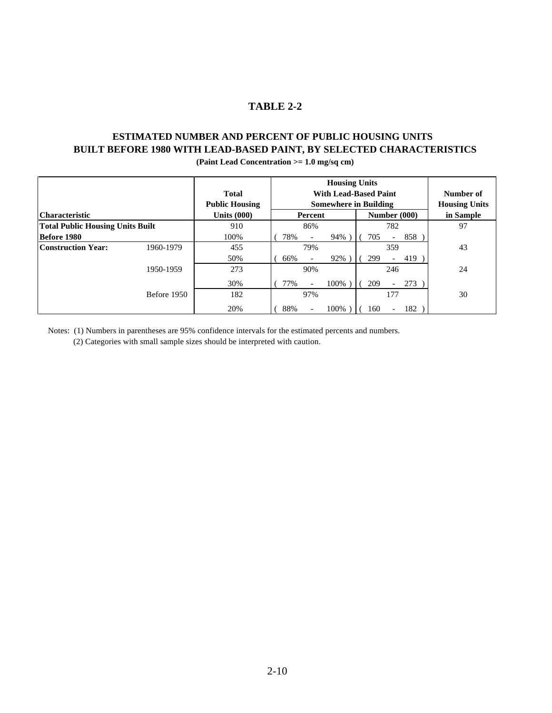# **TABLE 2-2**

# <span id="page-24-0"></span>**ESTIMATED NUMBER AND PERCENT OF PUBLIC HOUSING UNITS BUILT BEFORE 1980 WITH LEAD-BASED PAINT, BY SELECTED CHARACTERISTICS (Paint Lead Concentration >= 1.0 mg/sq cm)**

**Housing Units Total With Lead-Based Paint Number of**

| 1 otal                                  |             |                       | with lead-based Paint |                          |                              |  | Number of |                          |              |                      |
|-----------------------------------------|-------------|-----------------------|-----------------------|--------------------------|------------------------------|--|-----------|--------------------------|--------------|----------------------|
|                                         |             | <b>Public Housing</b> |                       |                          | <b>Somewhere in Building</b> |  |           |                          |              | <b>Housing Units</b> |
| <b>Characteristic</b>                   |             | Units $(000)$         |                       | Percent                  |                              |  |           |                          | Number (000) | in Sample            |
| <b>Total Public Housing Units Built</b> |             | 910                   |                       | 86%                      |                              |  |           | 782                      |              | 97                   |
| Before 1980                             |             | 100%                  | 78%                   |                          | 94%)                         |  | 705       | $\overline{\phantom{0}}$ | 858          |                      |
| <b>Construction Year:</b>               | 1960-1979   | 455                   |                       | 79%                      |                              |  |           | 359                      |              | 43                   |
|                                         |             | 50%                   | 66%                   |                          | 92%                          |  | 299       |                          | 419          |                      |
|                                         | 1950-1959   | 273                   |                       | 90%                      |                              |  |           | 246                      |              | 24                   |
|                                         |             | 30%                   | 77%                   |                          | 100%)                        |  | 209       |                          | 273          |                      |
|                                         | Before 1950 | 182                   |                       | 97%                      |                              |  |           | 177                      |              | 30                   |
|                                         |             | 20%                   | 88%                   | $\overline{\phantom{a}}$ | 100%)                        |  | 160       | $\overline{\phantom{0}}$ | 182          |                      |

Notes: (1) Numbers in parentheses are 95% confidence intervals for the estimated percents and numbers.

(2) Categories with small sample sizes should be interpreted with caution.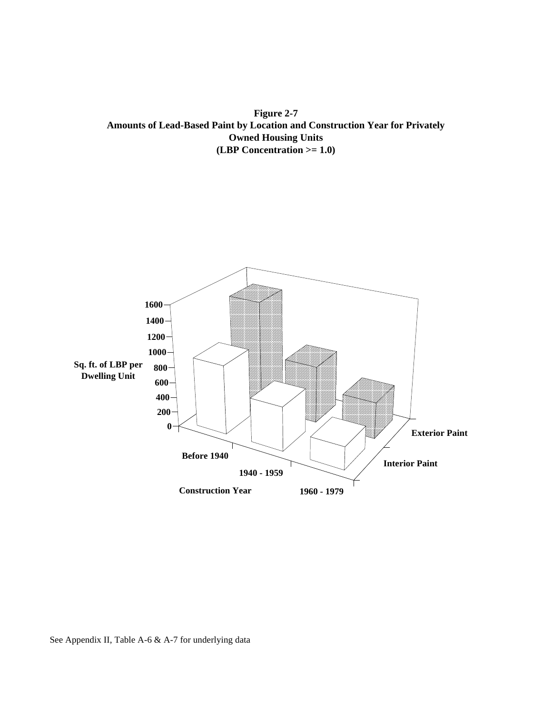<span id="page-25-0"></span>**Figure 2-7 Amounts of Lead-Based Paint by Location and Construction Year for Privately Owned Housing Units (LBP Concentration >= 1.0)**



See Appendix II, Table A-6 & A-7 for underlying data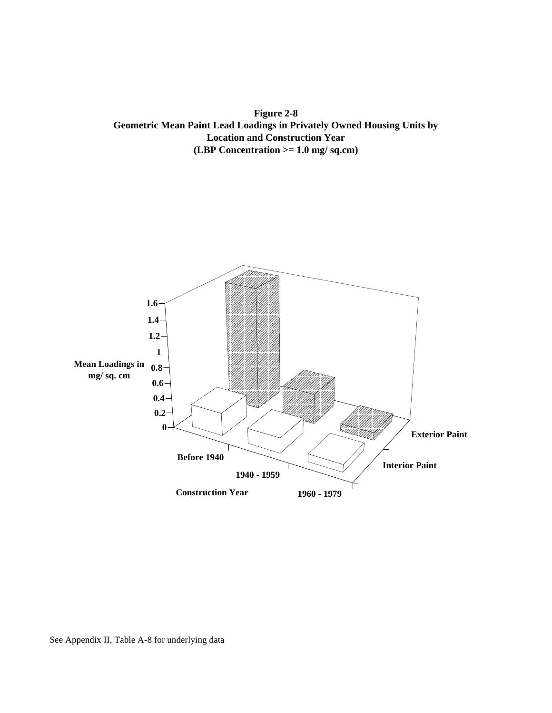<span id="page-26-0"></span>**Figure 2-8 Geometric Mean Paint Lead Loadings in Privately Owned Housing Units by Location and Construction Year (LBP Concentration >= 1.0 mg/ sq.cm)**

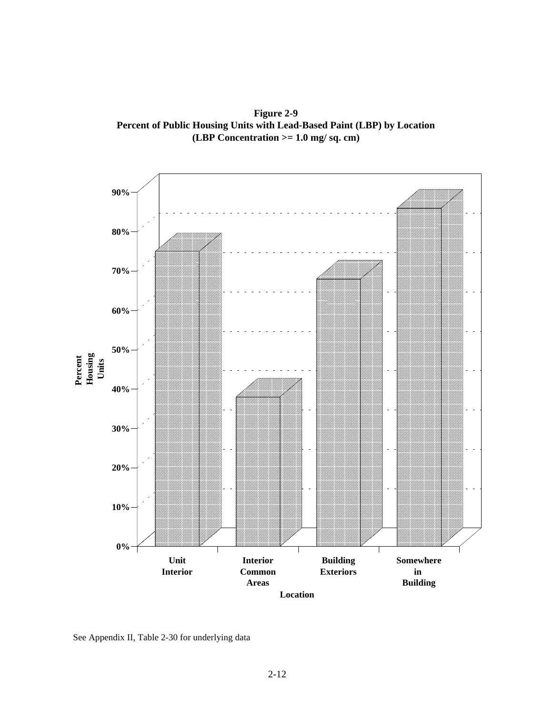**Figure 2-9 Percent of Public Housing Units with Lead-Based Paint (LBP) by Location (LBP Concentration >= 1.0 mg/ sq. cm)**

<span id="page-27-0"></span>

See Appendix II, Table 2-30 for underlying data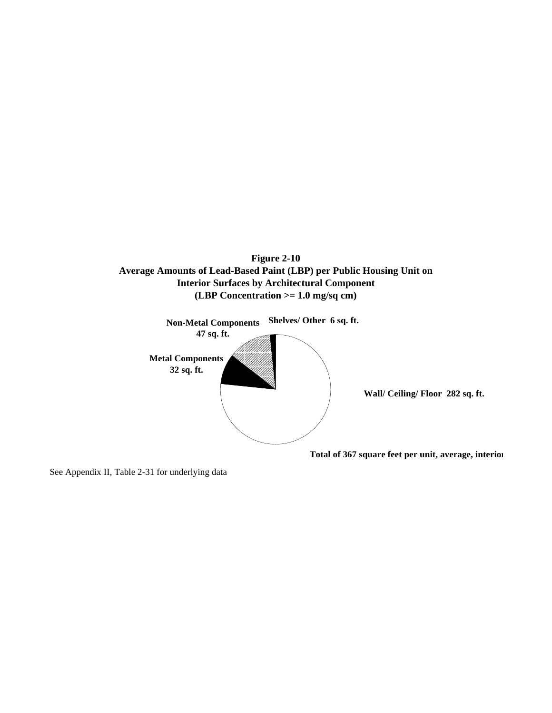<span id="page-28-0"></span>



See Appendix II, Table 2-31 for underlying data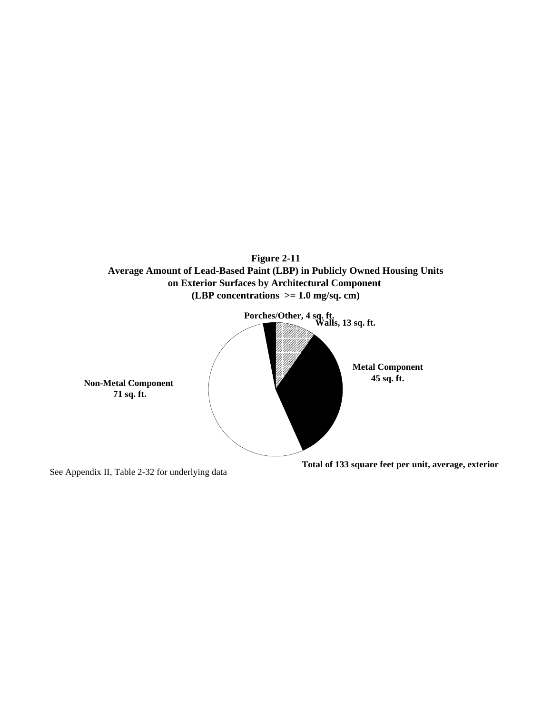

<span id="page-29-0"></span>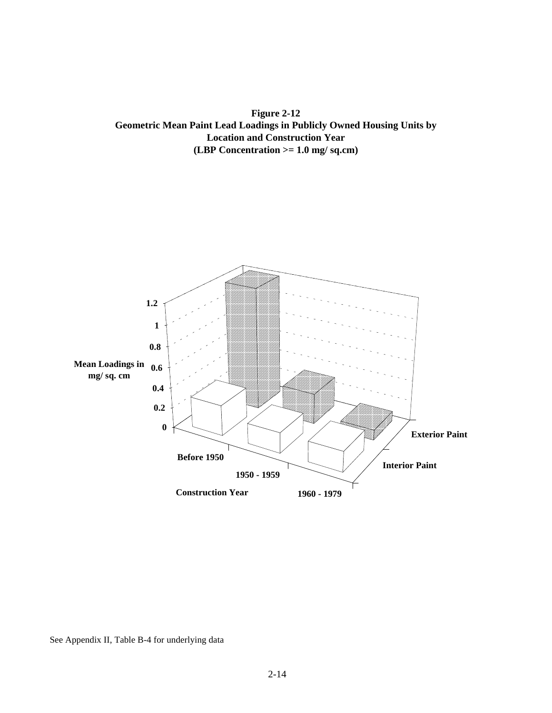<span id="page-30-0"></span>**Figure 2-12 Geometric Mean Paint Lead Loadings in Publicly Owned Housing Units by Location and Construction Year (LBP Concentration >= 1.0 mg/ sq.cm)**



See Appendix II, Table B-4 for underlying data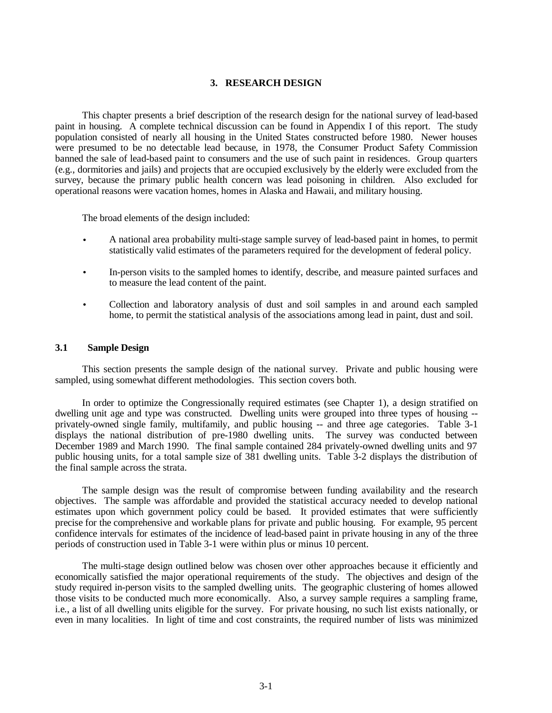### **3. RESEARCH DESIGN**

<span id="page-31-1"></span><span id="page-31-0"></span>This chapter presents a brief description of the research design for the national survey of lead-based paint in housing. A complete technical discussion can be found in Appendix I of this report. The study population consisted of nearly all housing in the United States constructed before 1980. Newer houses were presumed to be no detectable lead because, in 1978, the Consumer Product Safety Commission banned the sale of lead-based paint to consumers and the use of such paint in residences. Group quarters (e.g., dormitories and jails) and projects that are occupied exclusively by the elderly were excluded from the survey, because the primary public health concern was lead poisoning in children. Also excluded for operational reasons were vacation homes, homes in Alaska and Hawaii, and military housing.

The broad elements of the design included:

- A national area probability multi-stage sample survey of lead-based paint in homes, to permit statistically valid estimates of the parameters required for the development of federal policy.
- In-person visits to the sampled homes to identify, describe, and measure painted surfaces and to measure the lead content of the paint.
- Collection and laboratory analysis of dust and soil samples in and around each sampled home, to permit the statistical analysis of the associations among lead in paint, dust and soil.

### **3.1 Sample Design**

This section presents the sample design of the national survey. Private and public housing were sampled, using somewhat different methodologies. This section covers both.

In order to optimize the Congressionally required estimates (see Chapter 1), a design stratified on dwelling unit age and type was constructed. Dwelling units were grouped into three types of housing - privately-owned single family, multifamily, and public housing -- and three age categories. Table 3-1 displays the national distribution of pre-1980 dwelling units. The survey was conducted between December 1989 and March 1990. The final sample contained 284 privately-owned dwelling units and 97 public housing units, for a total sample size of 381 dwelling units. Table 3-2 displays the distribution of the final sample across the strata.

The sample design was the result of compromise between funding availability and the research objectives. The sample was affordable and provided the statistical accuracy needed to develop national estimates upon which government policy could be based. It provided estimates that were sufficiently precise for the comprehensive and workable plans for private and public housing. For example, 95 percent confidence intervals for estimates of the incidence of lead-based paint in private housing in any of the three periods of construction used in Table 3-1 were within plus or minus 10 percent.

The multi-stage design outlined below was chosen over other approaches because it efficiently and economically satisfied the major operational requirements of the study. The objectives and design of the study required in-person visits to the sampled dwelling units. The geographic clustering of homes allowed those visits to be conducted much more economically. Also, a survey sample requires a sampling frame, i.e., a list of all dwelling units eligible for the survey. For private housing, no such list exists nationally, or even in many localities. In light of time and cost constraints, the required number of lists was minimized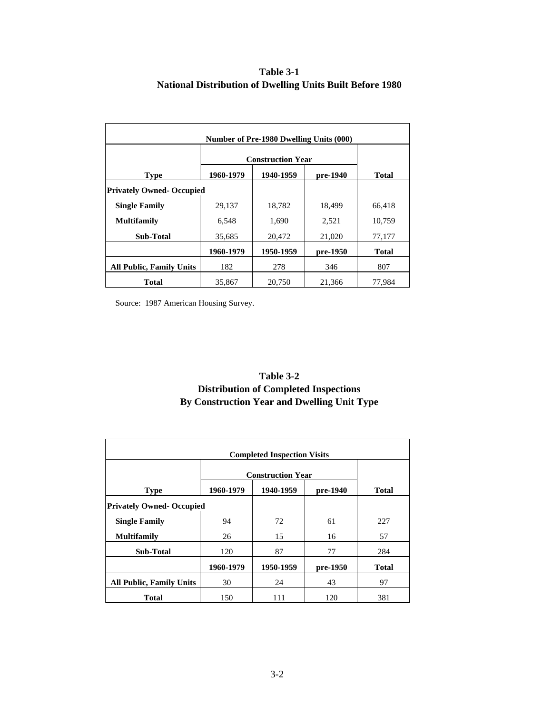# **Table 3-1 National Distribution of Dwelling Units Built Before 1980**

<span id="page-32-0"></span>

| Number of Pre-1980 Dwelling Units (000) |                          |           |          |              |  |  |  |
|-----------------------------------------|--------------------------|-----------|----------|--------------|--|--|--|
|                                         | <b>Construction Year</b> |           |          |              |  |  |  |
| <b>Type</b>                             | 1960-1979                | 1940-1959 | pre-1940 | Total        |  |  |  |
| <b>Privately Owned-Occupied</b>         |                          |           |          |              |  |  |  |
| <b>Single Family</b>                    | 29,137                   | 18,782    | 18,499   | 66,418       |  |  |  |
| <b>Multifamily</b>                      | 6,548                    | 1,690     | 2,521    | 10,759       |  |  |  |
| <b>Sub-Total</b>                        | 35,685                   | 20,472    | 21,020   | 77,177       |  |  |  |
|                                         | 1960-1979                | 1950-1959 | pre-1950 | <b>Total</b> |  |  |  |
| <b>All Public, Family Units</b>         | 182                      | 278       | 346      | 807          |  |  |  |
| Total                                   | 35,867                   | 20,750    | 21,366   | 77,984       |  |  |  |

Source: 1987 American Housing Survey.

# **Table 3-2 Distribution of Completed Inspections By Construction Year and Dwelling Unit Type**

| <b>Completed Inspection Visits</b> |           |                          |          |              |  |  |  |  |  |
|------------------------------------|-----------|--------------------------|----------|--------------|--|--|--|--|--|
|                                    |           | <b>Construction Year</b> |          |              |  |  |  |  |  |
| <b>Type</b>                        | 1960-1979 | 1940-1959                | pre-1940 | <b>Total</b> |  |  |  |  |  |
| <b>Privately Owned-Occupied</b>    |           |                          |          |              |  |  |  |  |  |
| <b>Single Family</b>               | 94        | 72                       | 61       | 227          |  |  |  |  |  |
| <b>Multifamily</b>                 | 26        | 15                       | 16       | 57           |  |  |  |  |  |
| <b>Sub-Total</b>                   | 120       | 87                       | 77       | 284          |  |  |  |  |  |
|                                    | 1960-1979 | 1950-1959                | pre-1950 | <b>Total</b> |  |  |  |  |  |
| <b>All Public, Family Units</b>    | 30        | 24                       | 43       | 97           |  |  |  |  |  |
| <b>Total</b>                       | 150       | 111                      | 120      | 381          |  |  |  |  |  |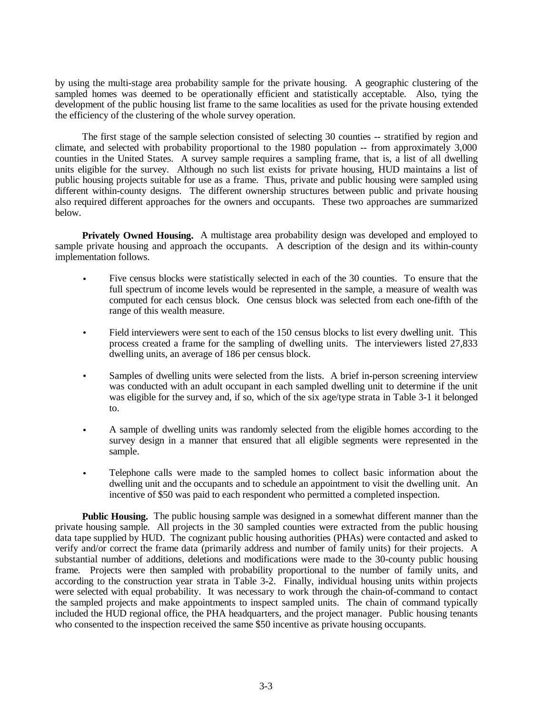by using the multi-stage area probability sample for the private housing. A geographic clustering of the sampled homes was deemed to be operationally efficient and statistically acceptable. Also, tying the development of the public housing list frame to the same localities as used for the private housing extended the efficiency of the clustering of the whole survey operation.

The first stage of the sample selection consisted of selecting 30 counties -- stratified by region and climate, and selected with probability proportional to the 1980 population -- from approximately 3,000 counties in the United States. A survey sample requires a sampling frame, that is, a list of all dwelling units eligible for the survey. Although no such list exists for private housing, HUD maintains a list of public housing projects suitable for use as a frame. Thus, private and public housing were sampled using different within-county designs. The different ownership structures between public and private housing also required different approaches for the owners and occupants. These two approaches are summarized below.

**Privately Owned Housing.** A multistage area probability design was developed and employed to sample private housing and approach the occupants. A description of the design and its within-county implementation follows.

- Five census blocks were statistically selected in each of the 30 counties. To ensure that the full spectrum of income levels would be represented in the sample, a measure of wealth was computed for each census block. One census block was selected from each one-fifth of the range of this wealth measure.
- Field interviewers were sent to each of the 150 census blocks to list every dwelling unit. This process created a frame for the sampling of dwelling units. The interviewers listed 27,833 dwelling units, an average of 186 per census block.
- Samples of dwelling units were selected from the lists. A brief in-person screening interview was conducted with an adult occupant in each sampled dwelling unit to determine if the unit was eligible for the survey and, if so, which of the six age/type strata in Table 3-1 it belonged to.
- A sample of dwelling units was randomly selected from the eligible homes according to the survey design in a manner that ensured that all eligible segments were represented in the sample.
- Telephone calls were made to the sampled homes to collect basic information about the dwelling unit and the occupants and to schedule an appointment to visit the dwelling unit. An incentive of \$50 was paid to each respondent who permitted a completed inspection.

**Public Housing.** The public housing sample was designed in a somewhat different manner than the private housing sample. All projects in the 30 sampled counties were extracted from the public housing data tape supplied by HUD. The cognizant public housing authorities (PHAs) were contacted and asked to verify and/or correct the frame data (primarily address and number of family units) for their projects. A substantial number of additions, deletions and modifications were made to the 30-county public housing frame. Projects were then sampled with probability proportional to the number of family units, and according to the construction year strata in Table 3-2. Finally, individual housing units within projects were selected with equal probability. It was necessary to work through the chain-of-command to contact the sampled projects and make appointments to inspect sampled units. The chain of command typically included the HUD regional office, the PHA headquarters, and the project manager. Public housing tenants who consented to the inspection received the same \$50 incentive as private housing occupants.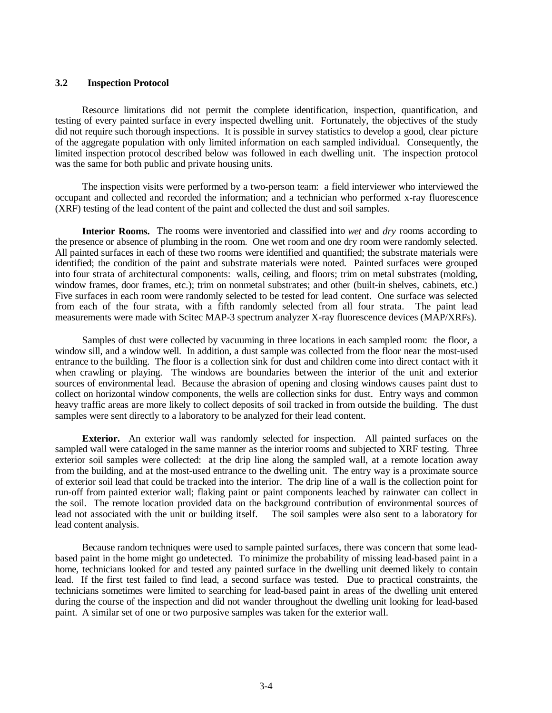### <span id="page-34-0"></span>**3.2 Inspection Protocol**

Resource limitations did not permit the complete identification, inspection, quantification, and testing of every painted surface in every inspected dwelling unit. Fortunately, the objectives of the study did not require such thorough inspections. It is possible in survey statistics to develop a good, clear picture of the aggregate population with only limited information on each sampled individual. Consequently, the limited inspection protocol described below was followed in each dwelling unit. The inspection protocol was the same for both public and private housing units.

The inspection visits were performed by a two-person team: a field interviewer who interviewed the occupant and collected and recorded the information; and a technician who performed x-ray fluorescence (XRF) testing of the lead content of the paint and collected the dust and soil samples.

**Interior Rooms.** The rooms were inventoried and classified into *wet* and *dry* rooms according to the presence or absence of plumbing in the room. One wet room and one dry room were randomly selected. All painted surfaces in each of these two rooms were identified and quantified; the substrate materials were identified; the condition of the paint and substrate materials were noted. Painted surfaces were grouped into four strata of architectural components: walls, ceiling, and floors; trim on metal substrates (molding, window frames, door frames, etc.); trim on nonmetal substrates; and other (built-in shelves, cabinets, etc.) Five surfaces in each room were randomly selected to be tested for lead content. One surface was selected from each of the four strata, with a fifth randomly selected from all four strata. The paint lead measurements were made with Scitec MAP-3 spectrum analyzer X-ray fluorescence devices (MAP/XRFs).

Samples of dust were collected by vacuuming in three locations in each sampled room: the floor, a window sill, and a window well. In addition, a dust sample was collected from the floor near the most-used entrance to the building. The floor is a collection sink for dust and children come into direct contact with it when crawling or playing. The windows are boundaries between the interior of the unit and exterior sources of environmental lead. Because the abrasion of opening and closing windows causes paint dust to collect on horizontal window components, the wells are collection sinks for dust. Entry ways and common heavy traffic areas are more likely to collect deposits of soil tracked in from outside the building. The dust samples were sent directly to a laboratory to be analyzed for their lead content.

**Exterior.** An exterior wall was randomly selected for inspection. All painted surfaces on the sampled wall were cataloged in the same manner as the interior rooms and subjected to XRF testing. Three exterior soil samples were collected: at the drip line along the sampled wall, at a remote location away from the building, and at the most-used entrance to the dwelling unit. The entry way is a proximate source of exterior soil lead that could be tracked into the interior. The drip line of a wall is the collection point for run-off from painted exterior wall; flaking paint or paint components leached by rainwater can collect in the soil. The remote location provided data on the background contribution of environmental sources of lead not associated with the unit or building itself. The soil samples were also sent to a laboratory for lead content analysis.

Because random techniques were used to sample painted surfaces, there was concern that some leadbased paint in the home might go undetected. To minimize the probability of missing lead-based paint in a home, technicians looked for and tested any painted surface in the dwelling unit deemed likely to contain lead. If the first test failed to find lead, a second surface was tested. Due to practical constraints, the technicians sometimes were limited to searching for lead-based paint in areas of the dwelling unit entered during the course of the inspection and did not wander throughout the dwelling unit looking for lead-based paint. A similar set of one or two purposive samples was taken for the exterior wall.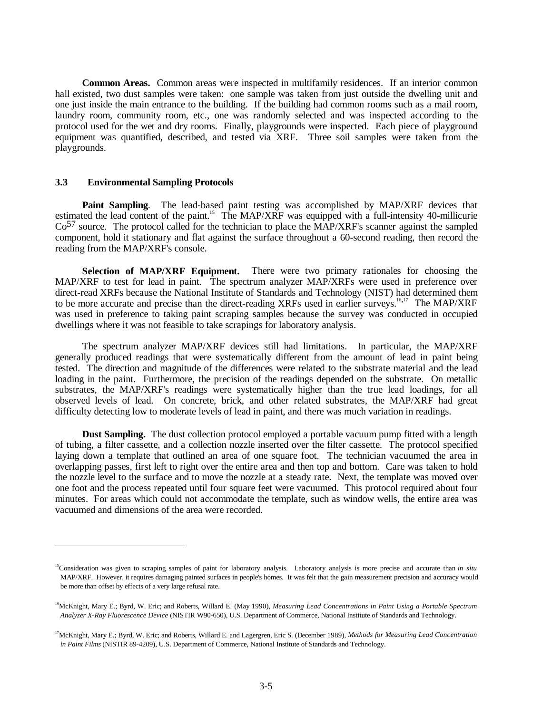<span id="page-35-0"></span>**Common Areas.** Common areas were inspected in multifamily residences. If an interior common hall existed, two dust samples were taken: one sample was taken from just outside the dwelling unit and one just inside the main entrance to the building. If the building had common rooms such as a mail room, laundry room, community room, etc., one was randomly selected and was inspected according to the protocol used for the wet and dry rooms. Finally, playgrounds were inspected. Each piece of playground equipment was quantified, described, and tested via XRF. Three soil samples were taken from the playgrounds.

### **3.3 Environmental Sampling Protocols**

-

**Paint Sampling**. The lead-based paint testing was accomplished by MAP/XRF devices that estimated the lead content of the paint.<sup>15</sup> The MAP/XRF was equipped with a full-intensity 40-millicurie  $Co<sup>57</sup>$  source. The protocol called for the technician to place the MAP/XRF's scanner against the sampled component, hold it stationary and flat against the surface throughout a 60-second reading, then record the reading from the MAP/XRF's console.

**Selection of MAP/XRF Equipment.** There were two primary rationales for choosing the MAP/XRF to test for lead in paint. The spectrum analyzer MAP/XRFs were used in preference over direct-read XRFs because the National Institute of Standards and Technology (NIST) had determined them to be more accurate and precise than the direct-reading XRFs used in earlier surveys.<sup>16,17</sup> The MAP/XRF was used in preference to taking paint scraping samples because the survey was conducted in occupied dwellings where it was not feasible to take scrapings for laboratory analysis.

The spectrum analyzer MAP/XRF devices still had limitations. In particular, the MAP/XRF generally produced readings that were systematically different from the amount of lead in paint being tested. The direction and magnitude of the differences were related to the substrate material and the lead loading in the paint. Furthermore, the precision of the readings depended on the substrate. On metallic substrates, the MAP/XRF's readings were systematically higher than the true lead loadings, for all observed levels of lead. On concrete, brick, and other related substrates, the MAP/XRF had great difficulty detecting low to moderate levels of lead in paint, and there was much variation in readings.

**Dust Sampling.** The dust collection protocol employed a portable vacuum pump fitted with a length of tubing, a filter cassette, and a collection nozzle inserted over the filter cassette. The protocol specified laying down a template that outlined an area of one square foot. The technician vacuumed the area in overlapping passes, first left to right over the entire area and then top and bottom. Care was taken to hold the nozzle level to the surface and to move the nozzle at a steady rate. Next, the template was moved over one foot and the process repeated until four square feet were vacuumed. This protocol required about four minutes. For areas which could not accommodate the template, such as window wells, the entire area was vacuumed and dimensions of the area were recorded.

<sup>&</sup>lt;sup>15</sup>Consideration was given to scraping samples of paint for laboratory analysis. Laboratory analysis is more precise and accurate than *in situ* MAP/XRF. However, it requires damaging painted surfaces in people's homes. It was felt that the gain measurement precision and accuracy would be more than offset by effects of a very large refusal rate.

<sup>&</sup>lt;sup>16</sup>McKnight, Mary E.; Byrd, W. Eric; and Roberts, Willard E. (May 1990), *Measuring Lead Concentrations in Paint Using a Portable Spectrum Analyzer X-Ray Fluorescence Device* (NISTIR W90-650), U.S. Department of Commerce, National Institute of Standards and Technology.

<sup>&</sup>lt;sup>17</sup>McKnight, Mary E.; Byrd, W. Eric; and Roberts, Willard E. and Lagergren, Eric S. (December 1989), Methods for Measuring Lead Concentration *in Paint Films* (NISTIR 89-4209), U.S. Department of Commerce, National Institute of Standards and Technology.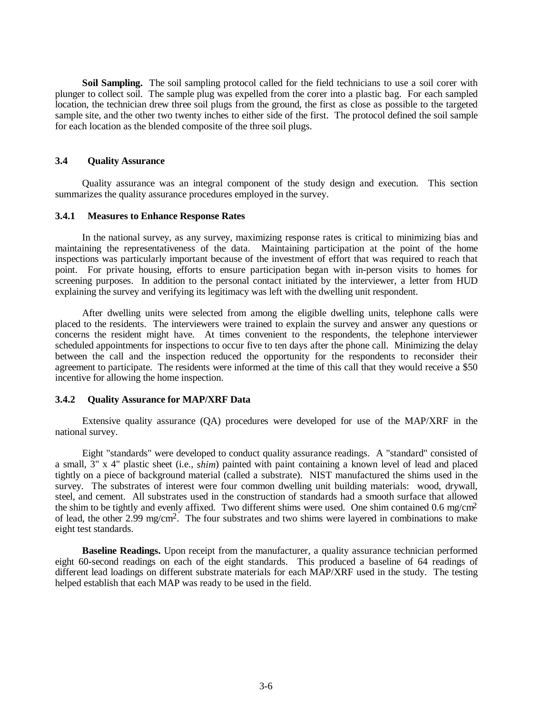<span id="page-36-0"></span>**Soil Sampling.** The soil sampling protocol called for the field technicians to use a soil corer with plunger to collect soil. The sample plug was expelled from the corer into a plastic bag. For each sampled location, the technician drew three soil plugs from the ground, the first as close as possible to the targeted sample site, and the other two twenty inches to either side of the first. The protocol defined the soil sample for each location as the blended composite of the three soil plugs.

# **3.4 Quality Assurance**

Quality assurance was an integral component of the study design and execution. This section summarizes the quality assurance procedures employed in the survey.

#### **3.4.1 Measures to Enhance Response Rates**

In the national survey, as any survey, maximizing response rates is critical to minimizing bias and maintaining the representativeness of the data. Maintaining participation at the point of the home inspections was particularly important because of the investment of effort that was required to reach that point. For private housing, efforts to ensure participation began with in-person visits to homes for screening purposes. In addition to the personal contact initiated by the interviewer, a letter from HUD explaining the survey and verifying its legitimacy was left with the dwelling unit respondent.

After dwelling units were selected from among the eligible dwelling units, telephone calls were placed to the residents. The interviewers were trained to explain the survey and answer any questions or concerns the resident might have. At times convenient to the respondents, the telephone interviewer scheduled appointments for inspections to occur five to ten days after the phone call. Minimizing the delay between the call and the inspection reduced the opportunity for the respondents to reconsider their agreement to participate. The residents were informed at the time of this call that they would receive a \$50 incentive for allowing the home inspection.

### **3.4.2 Quality Assurance for MAP/XRF Data**

Extensive quality assurance (QA) procedures were developed for use of the MAP/XRF in the national survey.

Eight "standards" were developed to conduct quality assurance readings. A "standard" consisted of a small, 3" x 4" plastic sheet (i.e., *shim*) painted with paint containing a known level of lead and placed tightly on a piece of background material (called a substrate). NIST manufactured the shims used in the survey. The substrates of interest were four common dwelling unit building materials: wood, drywall, steel, and cement. All substrates used in the construction of standards had a smooth surface that allowed the shim to be tightly and evenly affixed. Two different shims were used. One shim contained 0.6 mg/cm2 of lead, the other 2.99 mg/cm2. The four substrates and two shims were layered in combinations to make eight test standards.

**Baseline Readings.** Upon receipt from the manufacturer, a quality assurance technician performed eight 60-second readings on each of the eight standards. This produced a baseline of 64 readings of different lead loadings on different substrate materials for each MAP/XRF used in the study. The testing helped establish that each MAP was ready to be used in the field.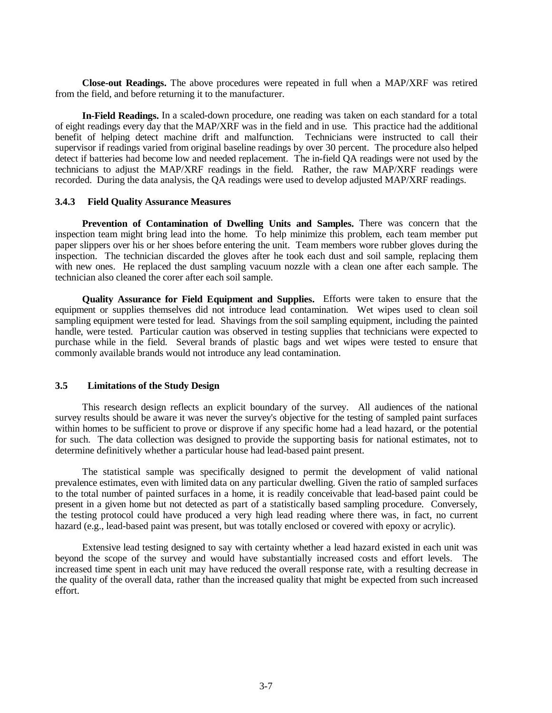<span id="page-37-0"></span>**Close-out Readings.** The above procedures were repeated in full when a MAP/XRF was retired from the field, and before returning it to the manufacturer.

**In-Field Readings.** In a scaled-down procedure, one reading was taken on each standard for a total of eight readings every day that the MAP/XRF was in the field and in use. This practice had the additional benefit of helping detect machine drift and malfunction. Technicians were instructed to call their supervisor if readings varied from original baseline readings by over 30 percent. The procedure also helped detect if batteries had become low and needed replacement. The in-field QA readings were not used by the technicians to adjust the MAP/XRF readings in the field. Rather, the raw MAP/XRF readings were recorded. During the data analysis, the QA readings were used to develop adjusted MAP/XRF readings.

### **3.4.3 Field Quality Assurance Measures**

**Prevention of Contamination of Dwelling Units and Samples.** There was concern that the inspection team might bring lead into the home. To help minimize this problem, each team member put paper slippers over his or her shoes before entering the unit. Team members wore rubber gloves during the inspection. The technician discarded the gloves after he took each dust and soil sample, replacing them with new ones. He replaced the dust sampling vacuum nozzle with a clean one after each sample. The technician also cleaned the corer after each soil sample.

**Quality Assurance for Field Equipment and Supplies.** Efforts were taken to ensure that the equipment or supplies themselves did not introduce lead contamination. Wet wipes used to clean soil sampling equipment were tested for lead. Shavings from the soil sampling equipment, including the painted handle, were tested. Particular caution was observed in testing supplies that technicians were expected to purchase while in the field. Several brands of plastic bags and wet wipes were tested to ensure that commonly available brands would not introduce any lead contamination.

# **3.5 Limitations of the Study Design**

This research design reflects an explicit boundary of the survey. All audiences of the national survey results should be aware it was never the survey's objective for the testing of sampled paint surfaces within homes to be sufficient to prove or disprove if any specific home had a lead hazard, or the potential for such. The data collection was designed to provide the supporting basis for national estimates, not to determine definitively whether a particular house had lead-based paint present.

The statistical sample was specifically designed to permit the development of valid national prevalence estimates, even with limited data on any particular dwelling. Given the ratio of sampled surfaces to the total number of painted surfaces in a home, it is readily conceivable that lead-based paint could be present in a given home but not detected as part of a statistically based sampling procedure. Conversely, the testing protocol could have produced a very high lead reading where there was, in fact, no current hazard (e.g., lead-based paint was present, but was totally enclosed or covered with epoxy or acrylic).

Extensive lead testing designed to say with certainty whether a lead hazard existed in each unit was beyond the scope of the survey and would have substantially increased costs and effort levels. The increased time spent in each unit may have reduced the overall response rate, with a resulting decrease in the quality of the overall data, rather than the increased quality that might be expected from such increased effort.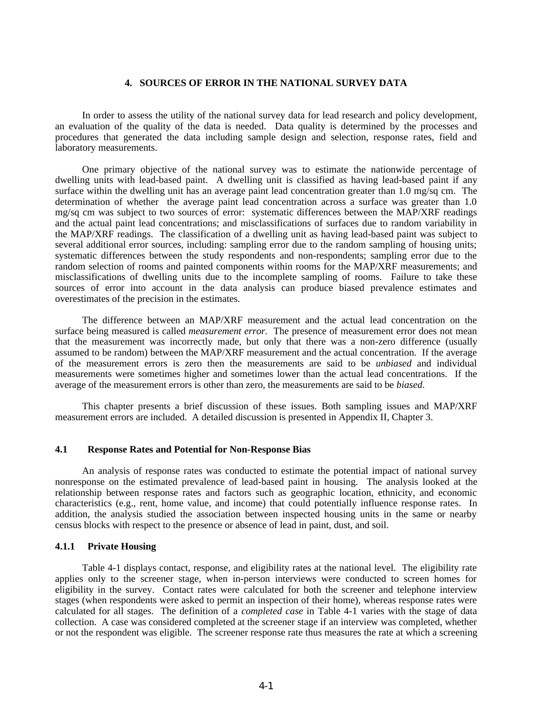### **4. SOURCES OF ERROR IN THE NATIONAL SURVEY DATA**

<span id="page-38-0"></span>In order to assess the utility of the national survey data for lead research and policy development, an evaluation of the quality of the data is needed. Data quality is determined by the processes and procedures that generated the data including sample design and selection, response rates, field and laboratory measurements.

One primary objective of the national survey was to estimate the nationwide percentage of dwelling units with lead-based paint. A dwelling unit is classified as having lead-based paint if any surface within the dwelling unit has an average paint lead concentration greater than 1.0 mg/sq cm. The determination of whether the average paint lead concentration across a surface was greater than 1.0 mg/sq cm was subject to two sources of error: systematic differences between the MAP/XRF readings and the actual paint lead concentrations; and misclassifications of surfaces due to random variability in the MAP/XRF readings. The classification of a dwelling unit as having lead-based paint was subject to several additional error sources, including: sampling error due to the random sampling of housing units; systematic differences between the study respondents and non-respondents; sampling error due to the random selection of rooms and painted components within rooms for the MAP/XRF measurements; and misclassifications of dwelling units due to the incomplete sampling of rooms. Failure to take these sources of error into account in the data analysis can produce biased prevalence estimates and overestimates of the precision in the estimates.

The difference between an MAP/XRF measurement and the actual lead concentration on the surface being measured is called *measurement error*. The presence of measurement error does not mean that the measurement was incorrectly made, but only that there was a non-zero difference (usually assumed to be random) between the MAP/XRF measurement and the actual concentration. If the average of the measurement errors is zero then the measurements are said to be *unbiased* and individual measurements were sometimes higher and sometimes lower than the actual lead concentrations. If the average of the measurement errors is other than zero, the measurements are said to be *biased*.

This chapter presents a brief discussion of these issues. Both sampling issues and MAP/XRF measurement errors are included. A detailed discussion is presented in Appendix II, Chapter 3.

#### **4.1 Response Rates and Potential for Non-Response Bias**

An analysis of response rates was conducted to estimate the potential impact of national survey nonresponse on the estimated prevalence of lead-based paint in housing. The analysis looked at the relationship between response rates and factors such as geographic location, ethnicity, and economic characteristics (e.g., rent, home value, and income) that could potentially influence response rates. In addition, the analysis studied the association between inspected housing units in the same or nearby census blocks with respect to the presence or absence of lead in paint, dust, and soil.

### **4.1.1 Private Housing**

Table 4-1 displays contact, response, and eligibility rates at the national level. The eligibility rate applies only to the screener stage, when in-person interviews were conducted to screen homes for eligibility in the survey. Contact rates were calculated for both the screener and telephone interview stages (when respondents were asked to permit an inspection of their home), whereas response rates were calculated for all stages. The definition of a *completed case* in Table 4-1 varies with the stage of data collection. A case was considered completed at the screener stage if an interview was completed, whether or not the respondent was eligible. The screener response rate thus measures the rate at which a screening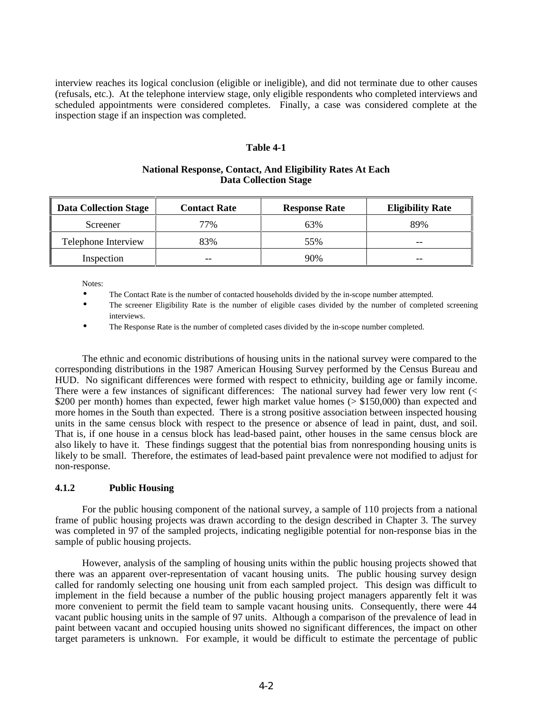<span id="page-39-1"></span><span id="page-39-0"></span>interview reaches its logical conclusion (eligible or ineligible), and did not terminate due to other causes (refusals, etc.). At the telephone interview stage, only eligible respondents who completed interviews and scheduled appointments were considered completes. Finally, a case was considered complete at the inspection stage if an inspection was completed.

### **Table 4-1**

# **National Response, Contact, And Eligibility Rates At Each Data Collection Stage**

| <b>Data Collection Stage</b><br>II. | <b>Contact Rate</b> | <b>Response Rate</b> | <b>Eligibility Rate</b> |
|-------------------------------------|---------------------|----------------------|-------------------------|
| Screener                            | 77%                 | 63%                  | 89%                     |
| Telephone Interview                 | 83%                 | 55%                  | --                      |
| Inspection                          | --                  | 90%                  | --                      |

Notes:

- The Contact Rate is the number of contacted households divided by the in-scope number attempted.
- The screener Eligibility Rate is the number of eligible cases divided by the number of completed screening interviews.
- The Response Rate is the number of completed cases divided by the in-scope number completed.

The ethnic and economic distributions of housing units in the national survey were compared to the corresponding distributions in the 1987 American Housing Survey performed by the Census Bureau and HUD. No significant differences were formed with respect to ethnicity, building age or family income. There were a few instances of significant differences: The national survey had fewer very low rent (< \$200 per month) homes than expected, fewer high market value homes ( $>$  \$150,000) than expected and more homes in the South than expected. There is a strong positive association between inspected housing units in the same census block with respect to the presence or absence of lead in paint, dust, and soil. That is, if one house in a census block has lead-based paint, other houses in the same census block are also likely to have it. These findings suggest that the potential bias from nonresponding housing units is likely to be small. Therefore, the estimates of lead-based paint prevalence were not modified to adjust for non-response.

# **4.1.2 Public Housing**

For the public housing component of the national survey, a sample of 110 projects from a national frame of public housing projects was drawn according to the design described in Chapter 3. The survey was completed in 97 of the sampled projects, indicating negligible potential for non-response bias in the sample of public housing projects.

However, analysis of the sampling of housing units within the public housing projects showed that there was an apparent over-representation of vacant housing units. The public housing survey design called for randomly selecting one housing unit from each sampled project. This design was difficult to implement in the field because a number of the public housing project managers apparently felt it was more convenient to permit the field team to sample vacant housing units. Consequently, there were 44 vacant public housing units in the sample of 97 units. Although a comparison of the prevalence of lead in paint between vacant and occupied housing units showed no significant differences, the impact on other target parameters is unknown. For example, it would be difficult to estimate the percentage of public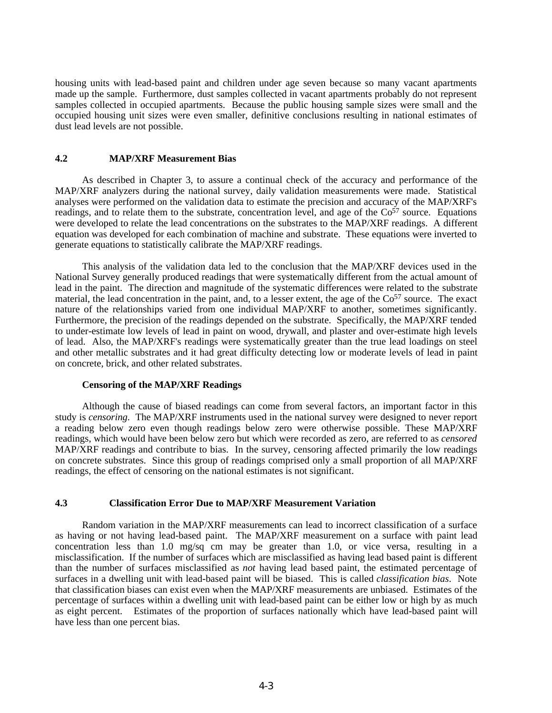<span id="page-40-0"></span>housing units with lead-based paint and children under age seven because so many vacant apartments made up the sample. Furthermore, dust samples collected in vacant apartments probably do not represent samples collected in occupied apartments. Because the public housing sample sizes were small and the occupied housing unit sizes were even smaller, definitive conclusions resulting in national estimates of dust lead levels are not possible.

# **4.2 MAP/XRF Measurement Bias**

As described in Chapter 3, to assure a continual check of the accuracy and performance of the MAP/XRF analyzers during the national survey, daily validation measurements were made. Statistical analyses were performed on the validation data to estimate the precision and accuracy of the MAP/XRF's readings, and to relate them to the substrate, concentration level, and age of the  $Co<sup>57</sup>$  source. Equations were developed to relate the lead concentrations on the substrates to the MAP/XRF readings. A different equation was developed for each combination of machine and substrate. These equations were inverted to generate equations to statistically calibrate the MAP/XRF readings.

This analysis of the validation data led to the conclusion that the MAP/XRF devices used in the National Survey generally produced readings that were systematically different from the actual amount of lead in the paint. The direction and magnitude of the systematic differences were related to the substrate material, the lead concentration in the paint, and, to a lesser extent, the age of the Co<sup>57</sup> source. The exact nature of the relationships varied from one individual MAP/XRF to another, sometimes significantly. Furthermore, the precision of the readings depended on the substrate. Specifically, the MAP/XRF tended to under-estimate low levels of lead in paint on wood, drywall, and plaster and over-estimate high levels of lead. Also, the MAP/XRF's readings were systematically greater than the true lead loadings on steel and other metallic substrates and it had great difficulty detecting low or moderate levels of lead in paint on concrete, brick, and other related substrates.

### **Censoring of the MAP/XRF Readings**

Although the cause of biased readings can come from several factors, an important factor in this study is *censoring*. The MAP/XRF instruments used in the national survey were designed to never report a reading below zero even though readings below zero were otherwise possible. These MAP/XRF readings, which would have been below zero but which were recorded as zero, are referred to as *censored* MAP/XRF readings and contribute to bias. In the survey, censoring affected primarily the low readings on concrete substrates. Since this group of readings comprised only a small proportion of all MAP/XRF readings, the effect of censoring on the national estimates is not significant.

### **4.3 Classification Error Due to MAP/XRF Measurement Variation**

Random variation in the MAP/XRF measurements can lead to incorrect classification of a surface as having or not having lead-based paint. The MAP/XRF measurement on a surface with paint lead concentration less than 1.0 mg/sq cm may be greater than 1.0, or vice versa, resulting in a misclassification. If the number of surfaces which are misclassified as having lead based paint is different than the number of surfaces misclassified as *not* having lead based paint, the estimated percentage of surfaces in a dwelling unit with lead-based paint will be biased. This is called *classification bias*. Note that classification biases can exist even when the MAP/XRF measurements are unbiased. Estimates of the percentage of surfaces within a dwelling unit with lead-based paint can be either low or high by as much as eight percent. Estimates of the proportion of surfaces nationally which have lead-based paint will have less than one percent bias.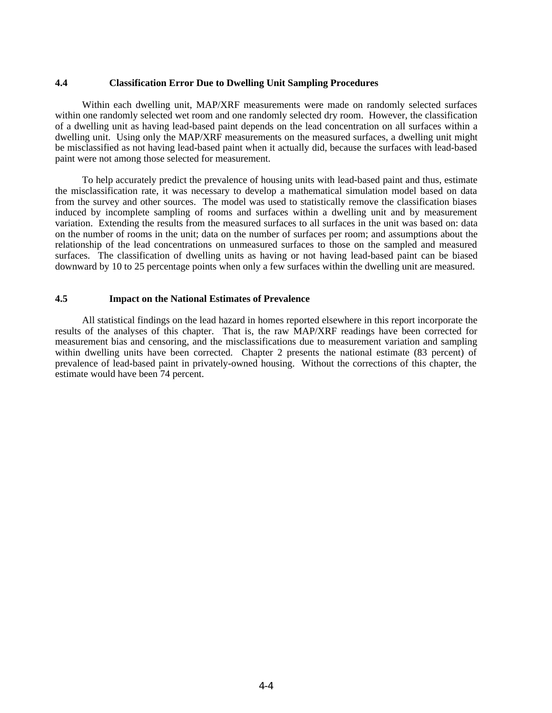#### <span id="page-41-0"></span>**4.4 Classification Error Due to Dwelling Unit Sampling Procedures**

Within each dwelling unit, MAP/XRF measurements were made on randomly selected surfaces within one randomly selected wet room and one randomly selected dry room. However, the classification of a dwelling unit as having lead-based paint depends on the lead concentration on all surfaces within a dwelling unit. Using only the MAP/XRF measurements on the measured surfaces, a dwelling unit might be misclassified as not having lead-based paint when it actually did, because the surfaces with lead-based paint were not among those selected for measurement.

To help accurately predict the prevalence of housing units with lead-based paint and thus, estimate the misclassification rate, it was necessary to develop a mathematical simulation model based on data from the survey and other sources. The model was used to statistically remove the classification biases induced by incomplete sampling of rooms and surfaces within a dwelling unit and by measurement variation. Extending the results from the measured surfaces to all surfaces in the unit was based on: data on the number of rooms in the unit; data on the number of surfaces per room; and assumptions about the relationship of the lead concentrations on unmeasured surfaces to those on the sampled and measured surfaces. The classification of dwelling units as having or not having lead-based paint can be biased downward by 10 to 25 percentage points when only a few surfaces within the dwelling unit are measured.

# **4.5 Impact on the National Estimates of Prevalence**

All statistical findings on the lead hazard in homes reported elsewhere in this report incorporate the results of the analyses of this chapter. That is, the raw MAP/XRF readings have been corrected for measurement bias and censoring, and the misclassifications due to measurement variation and sampling within dwelling units have been corrected. Chapter 2 presents the national estimate (83 percent) of prevalence of lead-based paint in privately-owned housing. Without the corrections of this chapter, the estimate would have been 74 percent.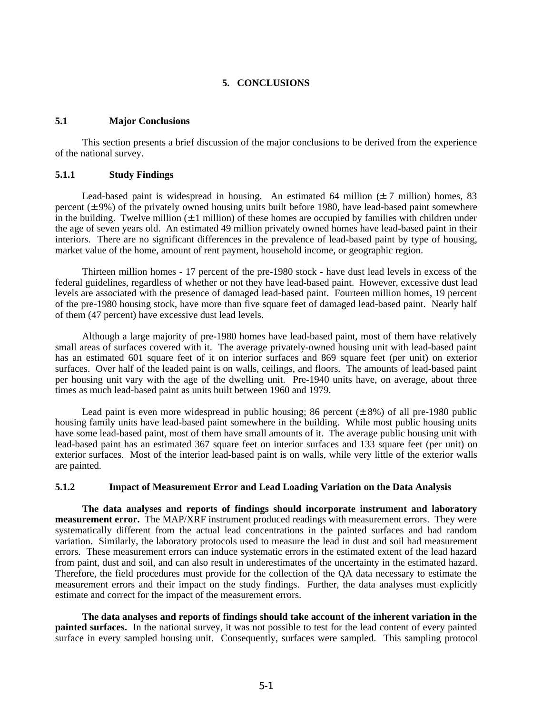# **5. CONCLUSIONS**

# <span id="page-42-1"></span><span id="page-42-0"></span>**5.1 Major Conclusions**

This section presents a brief discussion of the major conclusions to be derived from the experience of the national survey.

### **5.1.1 Study Findings**

Lead-based paint is widespread in housing. An estimated 64 million  $(\pm 7 \text{ million})$  homes, 83 percent  $(\pm 9\%)$  of the privately owned housing units built before 1980, have lead-based paint somewhere in the building. Twelve million  $(\pm 1$  million) of these homes are occupied by families with children under the age of seven years old. An estimated 49 million privately owned homes have lead-based paint in their interiors. There are no significant differences in the prevalence of lead-based paint by type of housing, market value of the home, amount of rent payment, household income, or geographic region.

Thirteen million homes - 17 percent of the pre-1980 stock - have dust lead levels in excess of the federal guidelines, regardless of whether or not they have lead-based paint. However, excessive dust lead levels are associated with the presence of damaged lead-based paint. Fourteen million homes, 19 percent of the pre-1980 housing stock, have more than five square feet of damaged lead-based paint. Nearly half of them (47 percent) have excessive dust lead levels.

Although a large majority of pre-1980 homes have lead-based paint, most of them have relatively small areas of surfaces covered with it. The average privately-owned housing unit with lead-based paint has an estimated 601 square feet of it on interior surfaces and 869 square feet (per unit) on exterior surfaces. Over half of the leaded paint is on walls, ceilings, and floors. The amounts of lead-based paint per housing unit vary with the age of the dwelling unit. Pre-1940 units have, on average, about three times as much lead-based paint as units built between 1960 and 1979.

Lead paint is even more widespread in public housing; 86 percent  $(\pm 8\%)$  of all pre-1980 public housing family units have lead-based paint somewhere in the building. While most public housing units have some lead-based paint, most of them have small amounts of it. The average public housing unit with lead-based paint has an estimated 367 square feet on interior surfaces and 133 square feet (per unit) on exterior surfaces. Most of the interior lead-based paint is on walls, while very little of the exterior walls are painted.

### **5.1.2 Impact of Measurement Error and Lead Loading Variation on the Data Analysis**

**The data analyses and reports of findings should incorporate instrument and laboratory measurement error.** The MAP/XRF instrument produced readings with measurement errors. They were systematically different from the actual lead concentrations in the painted surfaces and had random variation. Similarly, the laboratory protocols used to measure the lead in dust and soil had measurement errors. These measurement errors can induce systematic errors in the estimated extent of the lead hazard from paint, dust and soil, and can also result in underestimates of the uncertainty in the estimated hazard. Therefore, the field procedures must provide for the collection of the QA data necessary to estimate the measurement errors and their impact on the study findings. Further, the data analyses must explicitly estimate and correct for the impact of the measurement errors.

**The data analyses and reports of findings should take account of the inherent variation in the painted surfaces.** In the national survey, it was not possible to test for the lead content of every painted surface in every sampled housing unit. Consequently, surfaces were sampled. This sampling protocol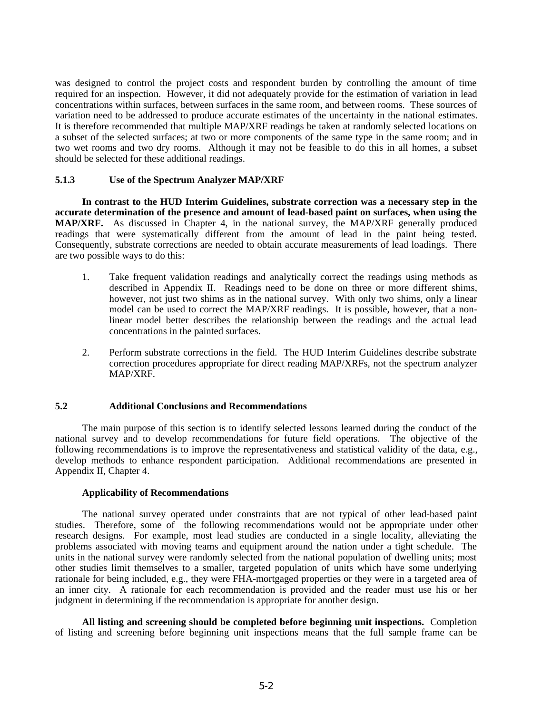<span id="page-43-0"></span>was designed to control the project costs and respondent burden by controlling the amount of time required for an inspection. However, it did not adequately provide for the estimation of variation in lead concentrations within surfaces, between surfaces in the same room, and between rooms. These sources of variation need to be addressed to produce accurate estimates of the uncertainty in the national estimates. It is therefore recommended that multiple MAP/XRF readings be taken at randomly selected locations on a subset of the selected surfaces; at two or more components of the same type in the same room; and in two wet rooms and two dry rooms. Although it may not be feasible to do this in all homes, a subset should be selected for these additional readings.

### **5.1.3 Use of the Spectrum Analyzer MAP/XRF**

**In contrast to the HUD Interim Guidelines, substrate correction was a necessary step in the accurate determination of the presence and amount of lead-based paint on surfaces, when using the MAP/XRF.** As discussed in Chapter 4, in the national survey, the MAP/XRF generally produced readings that were systematically different from the amount of lead in the paint being tested. Consequently, substrate corrections are needed to obtain accurate measurements of lead loadings. There are two possible ways to do this:

- 1. Take frequent validation readings and analytically correct the readings using methods as described in Appendix II. Readings need to be done on three or more different shims, however, not just two shims as in the national survey. With only two shims, only a linear model can be used to correct the MAP/XRF readings. It is possible, however, that a nonlinear model better describes the relationship between the readings and the actual lead concentrations in the painted surfaces.
- 2. Perform substrate corrections in the field. The HUD Interim Guidelines describe substrate correction procedures appropriate for direct reading MAP/XRFs, not the spectrum analyzer MAP/XRF.

# **5.2 Additional Conclusions and Recommendations**

The main purpose of this section is to identify selected lessons learned during the conduct of the national survey and to develop recommendations for future field operations. The objective of the following recommendations is to improve the representativeness and statistical validity of the data, e.g., develop methods to enhance respondent participation. Additional recommendations are presented in Appendix II, Chapter 4.

#### **Applicability of Recommendations**

The national survey operated under constraints that are not typical of other lead-based paint studies. Therefore, some of the following recommendations would not be appropriate under other research designs. For example, most lead studies are conducted in a single locality, alleviating the problems associated with moving teams and equipment around the nation under a tight schedule. The units in the national survey were randomly selected from the national population of dwelling units; most other studies limit themselves to a smaller, targeted population of units which have some underlying rationale for being included, e.g., they were FHA-mortgaged properties or they were in a targeted area of an inner city. A rationale for each recommendation is provided and the reader must use his or her judgment in determining if the recommendation is appropriate for another design.

**All listing and screening should be completed before beginning unit inspections.** Completion of listing and screening before beginning unit inspections means that the full sample frame can be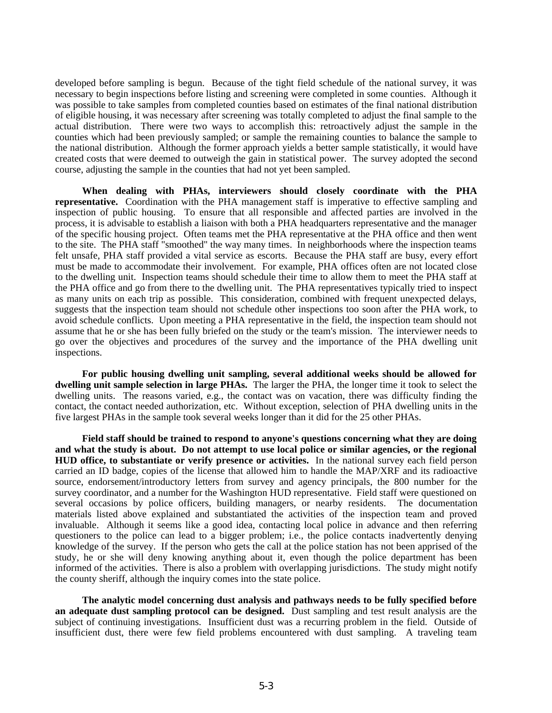developed before sampling is begun. Because of the tight field schedule of the national survey, it was necessary to begin inspections before listing and screening were completed in some counties. Although it was possible to take samples from completed counties based on estimates of the final national distribution of eligible housing, it was necessary after screening was totally completed to adjust the final sample to the actual distribution. There were two ways to accomplish this: retroactively adjust the sample in the counties which had been previously sampled; or sample the remaining counties to balance the sample to the national distribution. Although the former approach yields a better sample statistically, it would have created costs that were deemed to outweigh the gain in statistical power. The survey adopted the second course, adjusting the sample in the counties that had not yet been sampled.

**When dealing with PHAs, interviewers should closely coordinate with the PHA representative.** Coordination with the PHA management staff is imperative to effective sampling and inspection of public housing. To ensure that all responsible and affected parties are involved in the process, it is advisable to establish a liaison with both a PHA headquarters representative and the manager of the specific housing project. Often teams met the PHA representative at the PHA office and then went to the site. The PHA staff "smoothed" the way many times. In neighborhoods where the inspection teams felt unsafe, PHA staff provided a vital service as escorts. Because the PHA staff are busy, every effort must be made to accommodate their involvement. For example, PHA offices often are not located close to the dwelling unit. Inspection teams should schedule their time to allow them to meet the PHA staff at the PHA office and go from there to the dwelling unit. The PHA representatives typically tried to inspect as many units on each trip as possible. This consideration, combined with frequent unexpected delays, suggests that the inspection team should not schedule other inspections too soon after the PHA work, to avoid schedule conflicts. Upon meeting a PHA representative in the field, the inspection team should not assume that he or she has been fully briefed on the study or the team's mission. The interviewer needs to go over the objectives and procedures of the survey and the importance of the PHA dwelling unit inspections.

**For public housing dwelling unit sampling, several additional weeks should be allowed for dwelling unit sample selection in large PHAs.** The larger the PHA, the longer time it took to select the dwelling units. The reasons varied, e.g., the contact was on vacation, there was difficulty finding the contact, the contact needed authorization, etc. Without exception, selection of PHA dwelling units in the five largest PHAs in the sample took several weeks longer than it did for the 25 other PHAs.

**Field staff should be trained to respond to anyone's questions concerning what they are doing and what the study is about. Do not attempt to use local police or similar agencies, or the regional HUD office, to substantiate or verify presence or activities.** In the national survey each field person carried an ID badge, copies of the license that allowed him to handle the MAP/XRF and its radioactive source, endorsement/introductory letters from survey and agency principals, the 800 number for the survey coordinator, and a number for the Washington HUD representative. Field staff were questioned on several occasions by police officers, building managers, or nearby residents. The documentation materials listed above explained and substantiated the activities of the inspection team and proved invaluable. Although it seems like a good idea, contacting local police in advance and then referring questioners to the police can lead to a bigger problem; i.e., the police contacts inadvertently denying knowledge of the survey. If the person who gets the call at the police station has not been apprised of the study, he or she will deny knowing anything about it, even though the police department has been informed of the activities. There is also a problem with overlapping jurisdictions. The study might notify the county sheriff, although the inquiry comes into the state police.

**The analytic model concerning dust analysis and pathways needs to be fully specified before an adequate dust sampling protocol can be designed.** Dust sampling and test result analysis are the subject of continuing investigations. Insufficient dust was a recurring problem in the field. Outside of insufficient dust, there were few field problems encountered with dust sampling. A traveling team